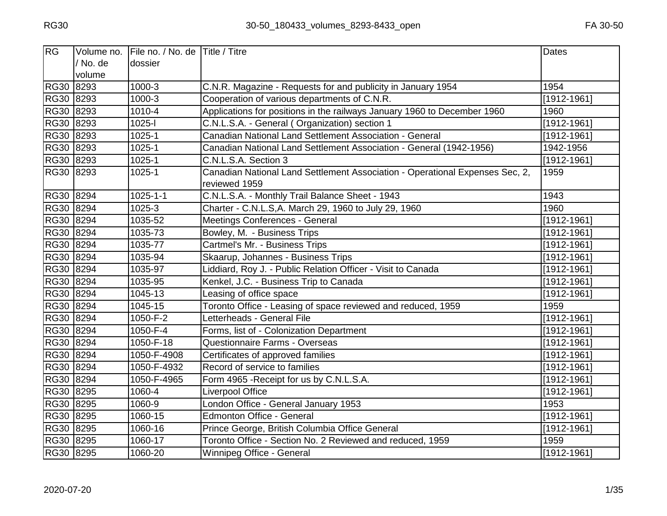| RG        | Volume no. | File no. / No. de Title / Titre |                                                                              | Dates                    |
|-----------|------------|---------------------------------|------------------------------------------------------------------------------|--------------------------|
|           | / No. de   | dossier                         |                                                                              |                          |
|           | volume     |                                 |                                                                              |                          |
| RG30 8293 |            | 1000-3                          | C.N.R. Magazine - Requests for and publicity in January 1954                 | 1954                     |
| RG30 8293 |            | 1000-3                          | Cooperation of various departments of C.N.R.                                 | $[1912 - 1961]$          |
| RG30 8293 |            | 1010-4                          | Applications for positions in the railways January 1960 to December 1960     | 1960                     |
| RG30 8293 |            | $1025 -$                        | C.N.L.S.A. - General (Organization) section 1                                | [1912-1961]              |
| RG30 8293 |            | 1025-1                          | Canadian National Land Settlement Association - General                      | $[1912 - 1961]$          |
| RG30 8293 |            | 1025-1                          | Canadian National Land Settlement Association - General (1942-1956)          | 1942-1956                |
| RG30 8293 |            | 1025-1                          | C.N.L.S.A. Section 3                                                         | $[1912 - 1961]$          |
| RG30 8293 |            | 1025-1                          | Canadian National Land Settlement Association - Operational Expenses Sec, 2, | 1959                     |
|           |            |                                 | reviewed 1959                                                                |                          |
| RG30 8294 |            | $1025 - 1 - 1$                  | C.N.L.S.A. - Monthly Trail Balance Sheet - 1943                              | 1943                     |
| RG30 8294 |            | 1025-3                          | Charter - C.N.L.S,A. March 29, 1960 to July 29, 1960                         | 1960                     |
| RG30 8294 |            | 1035-52                         | Meetings Conferences - General                                               | $[1912 - 1961]$          |
| RG30 8294 |            | 1035-73                         | Bowley, M. - Business Trips                                                  | $[1912 - 1961]$          |
| RG30 8294 |            | 1035-77                         | Cartmel's Mr. - Business Trips                                               | [1912-1961]              |
| RG30 8294 |            | 1035-94                         | Skaarup, Johannes - Business Trips                                           | $[1912 - 1961]$          |
| RG30 8294 |            | 1035-97                         | Liddiard, Roy J. - Public Relation Officer - Visit to Canada                 | $[1912 - 1961]$          |
| RG30 8294 |            | 1035-95                         | Kenkel, J.C. - Business Trip to Canada                                       | $[1912 - 1961]$          |
| RG30 8294 |            | 1045-13                         | Leasing of office space                                                      | $[1912 - 1961]$          |
| RG30 8294 |            | 1045-15                         | Toronto Office - Leasing of space reviewed and reduced, 1959                 | 1959                     |
| RG30 8294 |            | 1050-F-2                        | Letterheads - General File                                                   | $\overline{[1912-1961]}$ |
| RG30 8294 |            | 1050-F-4                        | Forms, list of - Colonization Department                                     | [1912-1961]              |
| RG30 8294 |            | 1050-F-18                       | <b>Questionnaire Farms - Overseas</b>                                        | $[1912 - 1961]$          |
| RG30 8294 |            | 1050-F-4908                     | Certificates of approved families                                            | [1912-1961]              |
| RG30 8294 |            | 1050-F-4932                     | Record of service to families                                                | $[1912 - 1961]$          |
| RG30 8294 |            | 1050-F-4965                     | Form 4965 - Receipt for us by C.N.L.S.A.                                     | $[1912 - 1961]$          |
| RG30 8295 |            | 1060-4                          | Liverpool Office                                                             | $[1912 - 1961]$          |
| RG30 8295 |            | 1060-9                          | London Office - General January 1953                                         | 1953                     |
| RG30 8295 |            | 1060-15                         | <b>Edmonton Office - General</b>                                             | [1912-1961]              |
| RG30 8295 |            | 1060-16                         | Prince George, British Columbia Office General                               | $[1912 - 1961]$          |
| RG30 8295 |            | 1060-17                         | Toronto Office - Section No. 2 Reviewed and reduced, 1959                    | 1959                     |
| RG30 8295 |            | 1060-20                         | Winnipeg Office - General                                                    | [1912-1961]              |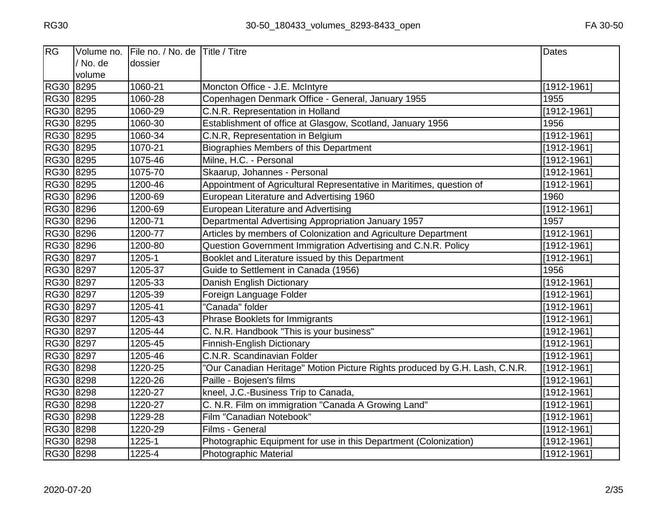| RG          | Volume no. | File no. / No. de Title / Titre |                                                                             | Dates           |
|-------------|------------|---------------------------------|-----------------------------------------------------------------------------|-----------------|
|             | / No. de   | dossier                         |                                                                             |                 |
|             | volume     |                                 |                                                                             |                 |
| <b>RG30</b> | 8295       | 1060-21                         | Moncton Office - J.E. McIntyre                                              | [1912-1961]     |
| <b>RG30</b> | 8295       | 1060-28                         | Copenhagen Denmark Office - General, January 1955                           | 1955            |
| <b>RG30</b> | 8295       | 1060-29                         | C.N.R. Representation in Holland                                            | $[1912-1961]$   |
| RG30 8295   |            | 1060-30                         | Establishment of office at Glasgow, Scotland, January 1956                  | 1956            |
| RG30 8295   |            | 1060-34                         | C.N.R, Representation in Belgium                                            | $[1912 - 1961]$ |
| RG30 8295   |            | 1070-21                         | Biographies Members of this Department                                      | [1912-1961]     |
| RG30 8295   |            | 1075-46                         | Milne, H.C. - Personal                                                      | [1912-1961]     |
| RG30 8295   |            | 1075-70                         | Skaarup, Johannes - Personal                                                | [1912-1961]     |
| RG30 8295   |            | 1200-46                         | Appointment of Agricultural Representative in Maritimes, question of        | $[1912-1961]$   |
| RG30 8296   |            | 1200-69                         | European Literature and Advertising 1960                                    | 1960            |
| RG30 8296   |            | 1200-69                         | <b>European Literature and Advertising</b>                                  | [1912-1961]     |
| RG30 8296   |            | 1200-71                         | Departmental Advertising Appropriation January 1957                         | 1957            |
| RG30 8296   |            | 1200-77                         | Articles by members of Colonization and Agriculture Department              | [1912-1961]     |
| RG30 8296   |            | 1200-80                         | Question Government Immigration Advertising and C.N.R. Policy               | [1912-1961]     |
| RG30 8297   |            | 1205-1                          | Booklet and Literature issued by this Department                            | $[1912 - 1961]$ |
| RG30 8297   |            | 1205-37                         | Guide to Settlement in Canada (1956)                                        | 1956            |
| RG30 8297   |            | 1205-33                         | Danish English Dictionary                                                   | $[1912 - 1961]$ |
| RG30 8297   |            | 1205-39                         | Foreign Language Folder                                                     | [1912-1961]     |
| RG30 8297   |            | 1205-41                         | "Canada" folder                                                             | $[1912 - 1961]$ |
| RG30 8297   |            | 1205-43                         | Phrase Booklets for Immigrants                                              | [1912-1961]     |
| RG30 8297   |            | 1205-44                         | C. N.R. Handbook "This is your business"                                    | [1912-1961]     |
| RG30 8297   |            | 1205-45                         | Finnish-English Dictionary                                                  | $[1912 - 1961]$ |
| RG30 8297   |            | 1205-46                         | C.N.R. Scandinavian Folder                                                  | [1912-1961]     |
| RG30 8298   |            | 1220-25                         | "Our Canadian Heritage" Motion Picture Rights produced by G.H. Lash, C.N.R. | [1912-1961]     |
| RG30 8298   |            | 1220-26                         | Paille - Bojesen's films                                                    | [1912-1961]     |
| RG30 8298   |            | 1220-27                         | kneel, J.C.-Business Trip to Canada,                                        | [1912-1961]     |
| RG30 8298   |            | 1220-27                         | C. N.R. Film on immigration "Canada A Growing Land"                         | $[1912 - 1961]$ |
| RG30 8298   |            | 1229-28                         | Film "Canadian Notebook"                                                    | [1912-1961]     |
| RG30 8298   |            | 1220-29                         | Films - General                                                             | [1912-1961]     |
| RG30 8298   |            | 1225-1                          | Photographic Equipment for use in this Department (Colonization)            | [1912-1961]     |
| RG30 8298   |            | 1225-4                          | <b>Photographic Material</b>                                                | [1912-1961]     |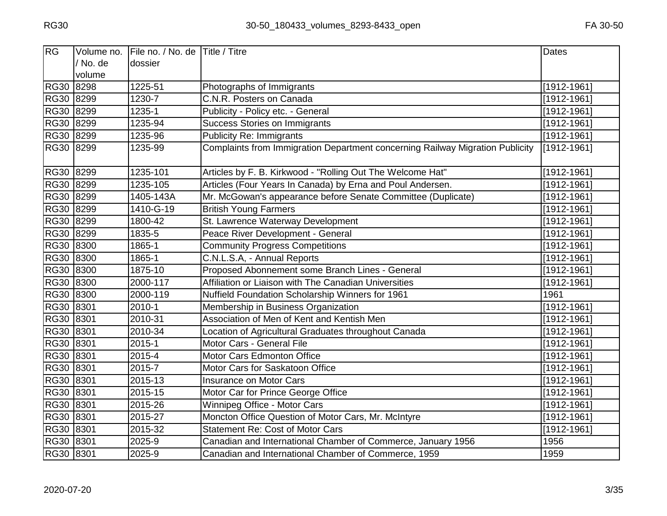| <b>RG</b> | Volume no. | File no. / No. de Title / Titre |                                                                               | <b>Dates</b>             |
|-----------|------------|---------------------------------|-------------------------------------------------------------------------------|--------------------------|
|           | / No. de   | dossier                         |                                                                               |                          |
|           | volume     |                                 |                                                                               |                          |
| RG30 8298 |            | 1225-51                         | Photographs of Immigrants                                                     | $[1912 - 1961]$          |
| RG30 8299 |            | 1230-7                          | C.N.R. Posters on Canada                                                      | $\overline{1}$ 912-1961] |
| RG30 8299 |            | 1235-1                          | Publicity - Policy etc. - General                                             | $[1912 - 1961]$          |
| RG30 8299 |            | 1235-94                         | <b>Success Stories on Immigrants</b>                                          | $[1912 - 1961]$          |
| RG30 8299 |            | 1235-96                         | <b>Publicity Re: Immigrants</b>                                               | $[1912 - 1961]$          |
| RG30 8299 |            | 1235-99                         | Complaints from Immigration Department concerning Railway Migration Publicity | $[1912-1961]$            |
| RG30 8299 |            | 1235-101                        | Articles by F. B. Kirkwood - "Rolling Out The Welcome Hat"                    | $[1912 - 1961]$          |
| RG30 8299 |            | 1235-105                        | Articles (Four Years In Canada) by Erna and Poul Andersen.                    | [1912-1961]              |
| RG30 8299 |            | 1405-143A                       | Mr. McGowan's appearance before Senate Committee (Duplicate)                  | $[1912 - 1961]$          |
| RG30 8299 |            | 1410-G-19                       | <b>British Young Farmers</b>                                                  | $[1912 - 1961]$          |
| RG30 8299 |            | 1800-42                         | St. Lawrence Waterway Development                                             | $[1912 - 1961]$          |
| RG30 8299 |            | 1835-5                          | Peace River Development - General                                             | $[1912 - 1961]$          |
| RG30 8300 |            | 1865-1                          | <b>Community Progress Competitions</b>                                        | $[1912 - 1961]$          |
| RG30 8300 |            | 1865-1                          | C.N.L.S.A, - Annual Reports                                                   | [1912-1961]              |
| RG30 8300 |            | 1875-10                         | Proposed Abonnement some Branch Lines - General                               | [1912-1961]              |
| RG30 8300 |            | 2000-117                        | Affiliation or Liaison with The Canadian Universities                         | [1912-1961]              |
| RG30 8300 |            | 2000-119                        | Nuffield Foundation Scholarship Winners for 1961                              | 1961                     |
| RG30 8301 |            | 2010-1                          | Membership in Business Organization                                           | $[1912 - 1961]$          |
| RG30 8301 |            | 2010-31                         | Association of Men of Kent and Kentish Men                                    | [1912-1961]              |
| RG30 8301 |            | 2010-34                         | Location of Agricultural Graduates throughout Canada                          | [1912-1961]              |
| RG30 8301 |            | 2015-1                          | Motor Cars - General File                                                     | $[1912 - 1961]$          |
| RG30 8301 |            | 2015-4                          | Motor Cars Edmonton Office                                                    | [1912-1961]              |
| RG30 8301 |            | 2015-7                          | Motor Cars for Saskatoon Office                                               | $[1912 - 1961]$          |
| RG30 8301 |            | 2015-13                         | <b>Insurance on Motor Cars</b>                                                | $[1912 - 1961]$          |
| RG30 8301 |            | 2015-15                         | Motor Car for Prince George Office                                            | $[1912 - 1961]$          |
| RG30 8301 |            | 2015-26                         | Winnipeg Office - Motor Cars                                                  | $[1912 - 1961]$          |
| RG30 8301 |            | 2015-27                         | Moncton Office Question of Motor Cars, Mr. McIntyre                           | [1912-1961]              |
| RG30 8301 |            | 2015-32                         | <b>Statement Re: Cost of Motor Cars</b>                                       | $[1912 - 1961]$          |
| RG30 8301 |            | 2025-9                          | Canadian and International Chamber of Commerce, January 1956                  | 1956                     |
| RG30 8301 |            | 2025-9                          | Canadian and International Chamber of Commerce, 1959                          | 1959                     |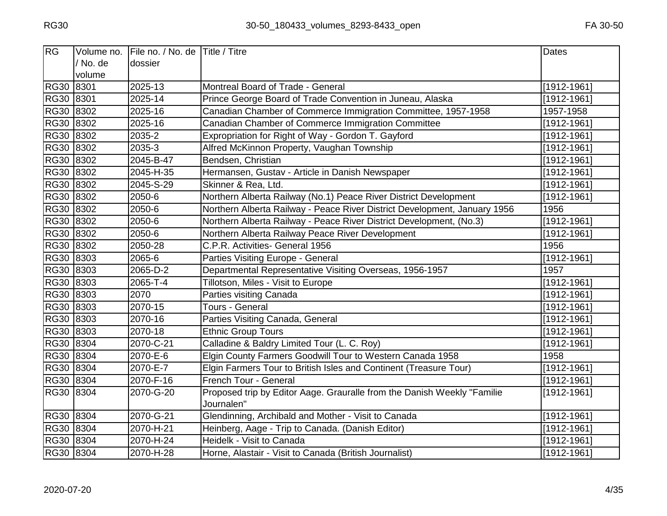| <b>RG</b>   | Volume no. | File no. / No. de Title / Titre |                                                                                       | <b>Dates</b>             |
|-------------|------------|---------------------------------|---------------------------------------------------------------------------------------|--------------------------|
|             | / No. de   | dossier                         |                                                                                       |                          |
|             | volume     |                                 |                                                                                       |                          |
| <b>RG30</b> | 8301       | 2025-13                         | Montreal Board of Trade - General                                                     | $[1912 - 1961]$          |
| RG30 8301   |            | 2025-14                         | Prince George Board of Trade Convention in Juneau, Alaska                             | $[1912 - 1961]$          |
| RG30 8302   |            | 2025-16                         | Canadian Chamber of Commerce Immigration Committee, 1957-1958                         | 1957-1958                |
| RG30 8302   |            | 2025-16                         | Canadian Chamber of Commerce Immigration Committee                                    | [1912-1961]              |
| RG30 8302   |            | 2035-2                          | Expropriation for Right of Way - Gordon T. Gayford                                    | $[1912 - 1961]$          |
| RG30 8302   |            | 2035-3                          | Alfred McKinnon Property, Vaughan Township                                            | $[1912 - 1961]$          |
| RG30 8302   |            | 2045-B-47                       | Bendsen, Christian                                                                    | $\overline{[1912-1961]}$ |
| RG30 8302   |            | 2045-H-35                       | Hermansen, Gustav - Article in Danish Newspaper                                       | [1912-1961]              |
| RG30 8302   |            | 2045-S-29                       | Skinner & Rea, Ltd.                                                                   | [1912-1961]              |
| RG30 8302   |            | 2050-6                          | Northern Alberta Railway (No.1) Peace River District Development                      | $[1912 - 1961]$          |
| RG30 8302   |            | 2050-6                          | Northern Alberta Railway - Peace River District Development, January 1956             | 1956                     |
| RG30 8302   |            | 2050-6                          | Northern Alberta Railway - Peace River District Development, (No.3)                   | $[1912 - 1961]$          |
| RG30 8302   |            | 2050-6                          | Northern Alberta Railway Peace River Development                                      | [1912-1961]              |
| RG30 8302   |            | 2050-28                         | C.P.R. Activities- General 1956                                                       | 1956                     |
| RG30 8303   |            | 2065-6                          | Parties Visiting Europe - General                                                     | $[1912 - 1961]$          |
| RG30 8303   |            | 2065-D-2                        | Departmental Representative Visiting Overseas, 1956-1957                              | 1957                     |
| RG30 8303   |            | 2065-T-4                        | Tillotson, Miles - Visit to Europe                                                    | $[1912 - 1961]$          |
| RG30 8303   |            | 2070                            | Parties visiting Canada                                                               | $[1912 - 1961]$          |
| RG30 8303   |            | 2070-15                         | Tours - General                                                                       | $[1912 - 1961]$          |
| RG30 8303   |            | 2070-16                         | Parties Visiting Canada, General                                                      | $[1912 - 1961]$          |
| RG30 8303   |            | 2070-18                         | <b>Ethnic Group Tours</b>                                                             | $[1912 - 1961]$          |
| RG30 8304   |            | 2070-C-21                       | Calladine & Baldry Limited Tour (L. C. Roy)                                           | [1912-1961]              |
| RG30 8304   |            | 2070-E-6                        | Elgin County Farmers Goodwill Tour to Western Canada 1958                             | 1958                     |
| RG30 8304   |            | 2070-E-7                        | Elgin Farmers Tour to British Isles and Continent (Treasure Tour)                     | $[1912 - 1961]$          |
| RG30 8304   |            | 2070-F-16                       | French Tour - General                                                                 | [1912-1961]              |
| RG30 8304   |            | 2070-G-20                       | Proposed trip by Editor Aage. Grauralle from the Danish Weekly "Familie<br>Journalen" | $[1912 - 1961]$          |
| RG30 8304   |            | 2070-G-21                       | Glendinning, Archibald and Mother - Visit to Canada                                   | $[1912 - 1961]$          |
| RG30 8304   |            | 2070-H-21                       | Heinberg, Aage - Trip to Canada. (Danish Editor)                                      | $[1912 - 1961]$          |
| RG30 8304   |            | 2070-H-24                       | Heidelk - Visit to Canada                                                             | [1912-1961]              |
| RG30 8304   |            | 2070-H-28                       | Horne, Alastair - Visit to Canada (British Journalist)                                | [1912-1961]              |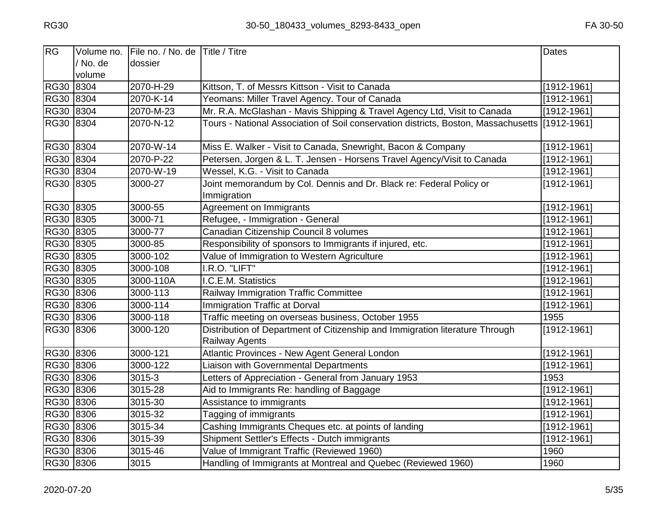| <b>RG</b> | Volume no. | File no. / No. de | <b>Title / Titre</b>                                                                            | <b>Dates</b>    |
|-----------|------------|-------------------|-------------------------------------------------------------------------------------------------|-----------------|
|           | / No. de   | dossier           |                                                                                                 |                 |
|           | volume     |                   |                                                                                                 |                 |
| RG30 8304 |            | 2070-H-29         | Kittson, T. of Messrs Kittson - Visit to Canada                                                 | $[1912 - 1961]$ |
| RG30 8304 |            | 2070-K-14         | Yeomans: Miller Travel Agency. Tour of Canada                                                   | $[1912 - 1961]$ |
| RG30 8304 |            | 2070-M-23         | Mr. R.A. McGlashan - Mavis Shipping & Travel Agency Ltd, Visit to Canada                        | [1912-1961]     |
| RG30 8304 |            | 2070-N-12         | Tours - National Association of Soil conservation districts, Boston, Massachusetts [[1912-1961] |                 |
| RG30 8304 |            | 2070-W-14         | Miss E. Walker - Visit to Canada, Snewright, Bacon & Company                                    | $[1912 - 1961]$ |
| RG30 8304 |            | 2070-P-22         | Petersen, Jorgen & L. T. Jensen - Horsens Travel Agency/Visit to Canada                         | $[1912 - 1961]$ |
| RG30 8304 |            | 2070-W-19         | Wessel, K.G. - Visit to Canada                                                                  | [1912-1961]     |
| RG30 8305 |            | 3000-27           | Joint memorandum by Col. Dennis and Dr. Black re: Federal Policy or                             | $[1912 - 1961]$ |
|           |            |                   | Immigration                                                                                     |                 |
| RG30 8305 |            | 3000-55           | Agreement on Immigrants                                                                         | [1912-1961]     |
| RG30 8305 |            | 3000-71           | Refugee, - Immigration - General                                                                | [1912-1961]     |
| RG30 8305 |            | 3000-77           | Canadian Citizenship Council 8 volumes                                                          | [1912-1961]     |
| RG30 8305 |            | 3000-85           | Responsibility of sponsors to Immigrants if injured, etc.                                       | $[1912 - 1961]$ |
| RG30 8305 |            | 3000-102          | Value of Immigration to Western Agriculture                                                     | [1912-1961]     |
| RG30 8305 |            | 3000-108          | I.R.O. "LIFT"                                                                                   | [1912-1961]     |
| RG30 8305 |            | 3000-110A         | I.C.E.M. Statistics                                                                             | $[1912 - 1961]$ |
| RG30 8306 |            | 3000-113          | Railway Immigration Traffic Committee                                                           | $[1912 - 1961]$ |
| RG30 8306 |            | 3000-114          | <b>Immigration Traffic at Dorval</b>                                                            | [1912-1961]     |
| RG30 8306 |            | 3000-118          | Traffic meeting on overseas business, October 1955                                              | 1955            |
| RG30 8306 |            | 3000-120          | Distribution of Department of Citizenship and Immigration literature Through<br>Railway Agents  | $[1912 - 1961]$ |
| RG30 8306 |            | 3000-121          | Atlantic Provinces - New Agent General London                                                   | [1912-1961]     |
| RG30 8306 |            | 3000-122          | Liaison with Governmental Departments                                                           | [1912-1961]     |
| RG30 8306 |            | 3015-3            | Letters of Appreciation - General from January 1953                                             | 1953            |
| RG30 8306 |            | 3015-28           | Aid to Immigrants Re: handling of Baggage                                                       | $[1912 - 1961]$ |
| RG30 8306 |            | 3015-30           | Assistance to immigrants                                                                        | [1912-1961]     |
| RG30 8306 |            | 3015-32           | Tagging of immigrants                                                                           | $[1912 - 1961]$ |
| RG30 8306 |            | 3015-34           | Cashing Immigrants Cheques etc. at points of landing                                            | $[1912 - 1961]$ |
| RG30 8306 |            | 3015-39           | Shipment Settler's Effects - Dutch immigrants                                                   | [1912-1961]     |
| RG30 8306 |            | 3015-46           | Value of Immigrant Traffic (Reviewed 1960)                                                      | 1960            |
| RG30 8306 |            | 3015              | Handling of Immigrants at Montreal and Quebec (Reviewed 1960)                                   | 1960            |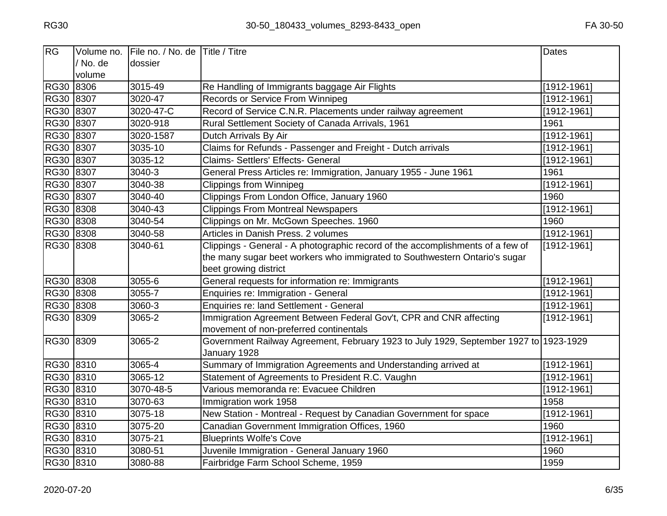| RG          | Volume no. | File no. / No. de Title / Titre |                                                                                                       | Dates           |
|-------------|------------|---------------------------------|-------------------------------------------------------------------------------------------------------|-----------------|
|             | / No. de   | dossier                         |                                                                                                       |                 |
|             | volume     |                                 |                                                                                                       |                 |
| RG30 8306   |            | 3015-49                         | Re Handling of Immigrants baggage Air Flights                                                         | $[1912 - 1961]$ |
| RG30        | 8307       | 3020-47                         | Records or Service From Winnipeg                                                                      | $[1912 - 1961]$ |
| <b>RG30</b> | 8307       | 3020-47-C                       | Record of Service C.N.R. Placements under railway agreement                                           | $[1912 - 1961]$ |
| RG30 8307   |            | 3020-918                        | Rural Settlement Society of Canada Arrivals, 1961                                                     | 1961            |
| <b>RG30</b> | 8307       | 3020-1587                       | Dutch Arrivals By Air                                                                                 | $[1912 - 1961]$ |
| RG30 8307   |            | 3035-10                         | Claims for Refunds - Passenger and Freight - Dutch arrivals                                           | [1912-1961]     |
| RG30 8307   |            | 3035-12                         | Claims- Settlers' Effects- General                                                                    | $[1912 - 1961]$ |
| RG30 8307   |            | 3040-3                          | General Press Articles re: Immigration, January 1955 - June 1961                                      | 1961            |
| RG30 8307   |            | 3040-38                         | <b>Clippings from Winnipeg</b>                                                                        | $[1912-1961]$   |
| RG30 8307   |            | 3040-40                         | Clippings From London Office, January 1960                                                            | 1960            |
| RG30 8308   |            | 3040-43                         | <b>Clippings From Montreal Newspapers</b>                                                             | $[1912 - 1961]$ |
| RG30 8308   |            | 3040-54                         | Clippings on Mr. McGown Speeches. 1960                                                                | 1960            |
| RG30 8308   |            | 3040-58                         | Articles in Danish Press. 2 volumes                                                                   | $[1912 - 1961]$ |
| RG30 8308   |            | 3040-61                         | Clippings - General - A photographic record of the accomplishments of a few of                        | [1912-1961]     |
|             |            |                                 | the many sugar beet workers who immigrated to Southwestern Ontario's sugar                            |                 |
|             |            |                                 | beet growing district                                                                                 |                 |
| RG30 8308   |            | 3055-6                          | General requests for information re: Immigrants                                                       | $[1912 - 1961]$ |
| RG30 8308   |            | 3055-7                          | Enquiries re: Immigration - General                                                                   | $[1912 - 1961]$ |
| RG30 8308   |            | 3060-3                          | Enquiries re: land Settlement - General                                                               | $[1912 - 1961]$ |
| RG30 8309   |            | 3065-2                          | Immigration Agreement Between Federal Gov't, CPR and CNR affecting                                    | [1912-1961]     |
|             |            |                                 | movement of non-preferred continentals                                                                |                 |
| RG30 8309   |            | 3065-2                          | Government Railway Agreement, February 1923 to July 1929, September 1927 to 1923-1929<br>January 1928 |                 |
| RG30 8310   |            | 3065-4                          | Summary of Immigration Agreements and Understanding arrived at                                        | $[1912 - 1961]$ |
| RG30 8310   |            | 3065-12                         | Statement of Agreements to President R.C. Vaughn                                                      | $[1912 - 1961]$ |
| RG30 8310   |            | 3070-48-5                       | Various memoranda re: Evacuee Children                                                                | $[1912 - 1961]$ |
| RG30 8310   |            | 3070-63                         | Immigration work 1958                                                                                 | 1958            |
| RG30 8310   |            | 3075-18                         | New Station - Montreal - Request by Canadian Government for space                                     | $[1912 - 1961]$ |
| RG30 8310   |            | 3075-20                         | Canadian Government Immigration Offices, 1960                                                         | 1960            |
| RG30 8310   |            | 3075-21                         | <b>Blueprints Wolfe's Cove</b>                                                                        | $[1912-1961]$   |
| RG30 8310   |            | 3080-51                         | Juvenile Immigration - General January 1960                                                           | 1960            |
| RG30 8310   |            | 3080-88                         | Fairbridge Farm School Scheme, 1959                                                                   | 1959            |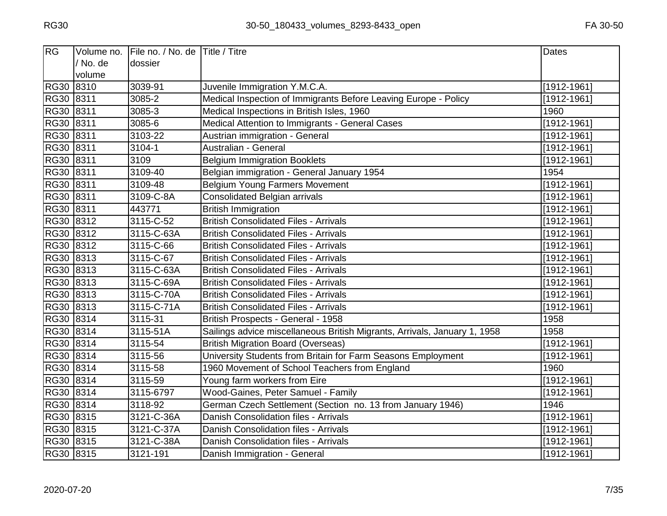| RG        | Volume no. | File no. / No. de Title / Titre |                                                                           | Dates                    |
|-----------|------------|---------------------------------|---------------------------------------------------------------------------|--------------------------|
|           | / No. de   | dossier                         |                                                                           |                          |
|           | volume     |                                 |                                                                           |                          |
| RG30 8310 |            | 3039-91                         | Juvenile Immigration Y.M.C.A.                                             | $[1912 - 1961]$          |
| RG30 8311 |            | 3085-2                          | Medical Inspection of Immigrants Before Leaving Europe - Policy           | $[1912 - 1961]$          |
| RG30 8311 |            | 3085-3                          | Medical Inspections in British Isles, 1960                                | 1960                     |
| RG30 8311 |            | 3085-6                          | Medical Attention to Immigrants - General Cases                           | [1912-1961]              |
| RG30 8311 |            | 3103-22                         | Austrian immigration - General                                            | $[1912 - 1961]$          |
| RG30 8311 |            | $\overline{3}104-1$             | Australian - General                                                      | $\overline{[1912-1961]}$ |
| RG30 8311 |            | 3109                            | <b>Belgium Immigration Booklets</b>                                       | $[1912 - 1961]$          |
| RG30 8311 |            | 3109-40                         | Belgian immigration - General January 1954                                | 1954                     |
| RG30 8311 |            | 3109-48                         | <b>Belgium Young Farmers Movement</b>                                     | $[1912 - 1961]$          |
| RG30 8311 |            | 3109-C-8A                       | <b>Consolidated Belgian arrivals</b>                                      | $[1912 - 1961]$          |
| RG30 8311 |            | 443771                          | <b>British Immigration</b>                                                | $[1912 - 1961]$          |
| RG30 8312 |            | 3115-C-52                       | <b>British Consolidated Files - Arrivals</b>                              | $[1912 - 1961]$          |
| RG30 8312 |            | 3115-C-63A                      | <b>British Consolidated Files - Arrivals</b>                              | $[1912 - 1961]$          |
| RG30 8312 |            | 3115-C-66                       | <b>British Consolidated Files - Arrivals</b>                              | $[1912 - 1961]$          |
| RG30 8313 |            | 3115-C-67                       | <b>British Consolidated Files - Arrivals</b>                              | $[1912 - 1961]$          |
| RG30 8313 |            | 3115-C-63A                      | <b>British Consolidated Files - Arrivals</b>                              | $[1912 - 1961]$          |
| RG30 8313 |            | 3115-C-69A                      | <b>British Consolidated Files - Arrivals</b>                              | $[1912 - 1961]$          |
| RG30 8313 |            | 3115-C-70A                      | <b>British Consolidated Files - Arrivals</b>                              | [1912-1961]              |
| RG30 8313 |            | 3115-C-71A                      | <b>British Consolidated Files - Arrivals</b>                              | $[1912 - 1961]$          |
| RG30 8314 |            | 3115-31                         | British Prospects - General - 1958                                        | 1958                     |
| RG30 8314 |            | 3115-51A                        | Sailings advice miscellaneous British Migrants, Arrivals, January 1, 1958 | 1958                     |
| RG30 8314 |            | 3115-54                         | <b>British Migration Board (Overseas)</b>                                 | $[1912 - 1961]$          |
| RG30 8314 |            | 3115-56                         | University Students from Britain for Farm Seasons Employment              | [1912-1961]              |
| RG30 8314 |            | 3115-58                         | 1960 Movement of School Teachers from England                             | 1960                     |
| RG30 8314 |            | 3115-59                         | Young farm workers from Eire                                              | $[1912 - 1961]$          |
| RG30 8314 |            | 3115-6797                       | Wood-Gaines, Peter Samuel - Family                                        | $[1912 - 1961]$          |
| RG30 8314 |            | 3118-92                         | German Czech Settlement (Section no. 13 from January 1946)                | 1946                     |
| RG30 8315 |            | 3121-C-36A                      | Danish Consolidation files - Arrivals                                     | $[1912 - 1961]$          |
| RG30 8315 |            | 3121-C-37A                      | Danish Consolidation files - Arrivals                                     | $[1912 - 1961]$          |
| RG30 8315 |            | 3121-C-38A                      | Danish Consolidation files - Arrivals                                     | $[1912 - 1961]$          |
| RG30 8315 |            | 3121-191                        | Danish Immigration - General                                              | [1912-1961]              |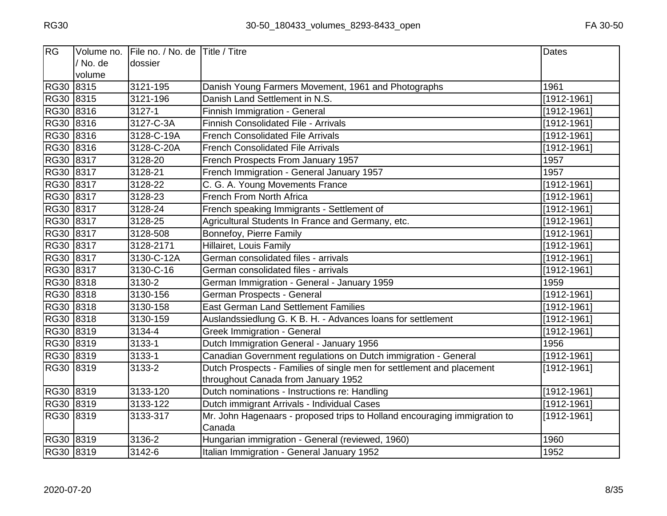| RG        | Volume no. | File no. / No. de Title / Titre |                                                                           | <b>Dates</b>             |
|-----------|------------|---------------------------------|---------------------------------------------------------------------------|--------------------------|
|           | / No. de   | dossier                         |                                                                           |                          |
|           | volume     |                                 |                                                                           |                          |
| RG30 8315 |            | 3121-195                        | Danish Young Farmers Movement, 1961 and Photographs                       | 1961                     |
| RG30 8315 |            | 3121-196                        | Danish Land Settlement in N.S.                                            | $[1912 - 1961]$          |
| RG30 8316 |            | 3127-1                          | <b>Finnish Immigration - General</b>                                      | [1912-1961]              |
| RG30 8316 |            | 3127-C-3A                       | <b>Finnish Consolidated File - Arrivals</b>                               | [1912-1961]              |
| RG30 8316 |            | 3128-C-19A                      | <b>French Consolidated File Arrivals</b>                                  | $[1912 - 1961]$          |
| RG30 8316 |            | 3128-C-20A                      | <b>French Consolidated File Arrivals</b>                                  | [1912-1961]              |
| RG30 8317 |            | 3128-20                         | French Prospects From January 1957                                        | 1957                     |
| RG30 8317 |            | 3128-21                         | French Immigration - General January 1957                                 | 1957                     |
| RG30 8317 |            | 3128-22                         | C. G. A. Young Movements France                                           | $[1912 - 1961]$          |
| RG30 8317 |            | 3128-23                         | <b>French From North Africa</b>                                           | $[1912 - 1961]$          |
| RG30 8317 |            | 3128-24                         | French speaking Immigrants - Settlement of                                | $[1912 - 1961]$          |
| RG30 8317 |            | 3128-25                         | Agricultural Students In France and Germany, etc.                         | [1912-1961]              |
| RG30 8317 |            | 3128-508                        | Bonnefoy, Pierre Family                                                   | [1912-1961]              |
| RG30 8317 |            | 3128-2171                       | <b>Hillairet, Louis Family</b>                                            | $\overline{1912}$ -1961] |
| RG30 8317 |            | 3130-C-12A                      | German consolidated files - arrivals                                      | $[1912 - 1961]$          |
| RG30 8317 |            | 3130-C-16                       | German consolidated files - arrivals                                      | [1912-1961]              |
| RG30 8318 |            | 3130-2                          | German Immigration - General - January 1959                               | 1959                     |
| RG30 8318 |            | 3130-156                        | German Prospects - General                                                | [1912-1961]              |
| RG30 8318 |            | 3130-158                        | <b>East German Land Settlement Families</b>                               | [1912-1961]              |
| RG30 8318 |            | 3130-159                        | Auslandssiedlung G. K B. H. - Advances loans for settlement               | $[1912 - 1961]$          |
| RG30 8319 |            | 3134-4                          | <b>Greek Immigration - General</b>                                        | [1912-1961]              |
| RG30 8319 |            | 3133-1                          | Dutch Immigration General - January 1956                                  | 1956                     |
| RG30 8319 |            | 3133-1                          | Canadian Government regulations on Dutch immigration - General            | [1912-1961]              |
| RG30 8319 |            | 3133-2                          | Dutch Prospects - Families of single men for settlement and placement     | $[1912 - 1961]$          |
|           |            |                                 | throughout Canada from January 1952                                       |                          |
| RG30 8319 |            | 3133-120                        | Dutch nominations - Instructions re: Handling                             | $[1912 - 1961]$          |
| RG30 8319 |            | 3133-122                        | Dutch immigrant Arrivals - Individual Cases                               | [1912-1961]              |
| RG30 8319 |            | 3133-317                        | Mr. John Hagenaars - proposed trips to Holland encouraging immigration to | [1912-1961]              |
|           |            |                                 | Canada                                                                    |                          |
| RG30 8319 |            | 3136-2                          | Hungarian immigration - General (reviewed, 1960)                          | 1960                     |
| RG30 8319 |            | 3142-6                          | Italian Immigration - General January 1952                                | 1952                     |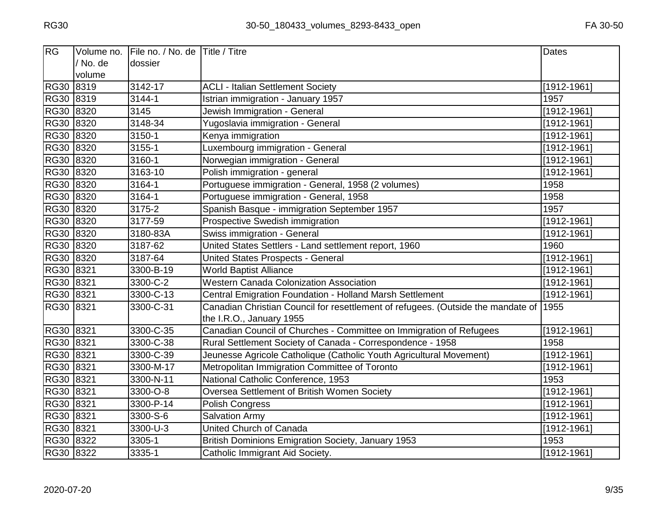| RG        | Volume no. | File no. / No. de Title / Titre |                                                                                                              | <b>Dates</b>    |
|-----------|------------|---------------------------------|--------------------------------------------------------------------------------------------------------------|-----------------|
|           | / No. de   | dossier                         |                                                                                                              |                 |
|           | volume     |                                 |                                                                                                              |                 |
| RG30 8319 |            | 3142-17                         | <b>ACLI - Italian Settlement Society</b>                                                                     | [1912-1961]     |
| RG30 8319 |            | 3144-1                          | Istrian immigration - January 1957                                                                           | 1957            |
| RG30 8320 |            | 3145                            | Jewish Immigration - General                                                                                 | $[1912 - 1961]$ |
| RG30 8320 |            | 3148-34                         | Yugoslavia immigration - General                                                                             | [1912-1961]     |
| RG30 8320 |            | 3150-1                          | Kenya immigration                                                                                            | $[1912 - 1961]$ |
| RG30 8320 |            | 3155-1                          | Luxembourg immigration - General                                                                             | [1912-1961]     |
| RG30 8320 |            | 3160-1                          | Norwegian immigration - General                                                                              | $[1912 - 1961]$ |
| RG30 8320 |            | 3163-10                         | Polish immigration - general                                                                                 | [1912-1961]     |
| RG30 8320 |            | 3164-1                          | Portuguese immigration - General, 1958 (2 volumes)                                                           | 1958            |
| RG30 8320 |            | 3164-1                          | Portuguese immigration - General, 1958                                                                       | 1958            |
| RG30 8320 |            | 3175-2                          | Spanish Basque - immigration September 1957                                                                  | 1957            |
| RG30 8320 |            | 3177-59                         | Prospective Swedish immigration                                                                              | $[1912 - 1961]$ |
| RG30 8320 |            | 3180-83A                        | Swiss immigration - General                                                                                  | [1912-1961]     |
| RG30 8320 |            | 3187-62                         | United States Settlers - Land settlement report, 1960                                                        | 1960            |
| RG30 8320 |            | 3187-64                         | United States Prospects - General                                                                            | [1912-1961]     |
| RG30 8321 |            | 3300-B-19                       | <b>World Baptist Alliance</b>                                                                                | [1912-1961]     |
| RG30 8321 |            | $3300 - C - 2$                  | <b>Western Canada Colonization Association</b>                                                               | $[1912 - 1961]$ |
| RG30 8321 |            | 3300-C-13                       | Central Emigration Foundation - Holland Marsh Settlement                                                     | [1912-1961]     |
| RG30 8321 |            | 3300-C-31                       | Canadian Christian Council for resettlement of refugees. (Outside the mandate of<br>the I.R.O., January 1955 | 1955            |
| RG30 8321 |            | 3300-C-35                       | Canadian Council of Churches - Committee on Immigration of Refugees                                          | $[1912 - 1961]$ |
| RG30 8321 |            | 3300-C-38                       | Rural Settlement Society of Canada - Correspondence - 1958                                                   | 1958            |
| RG30 8321 |            | 3300-C-39                       | Jeunesse Agricole Catholique (Catholic Youth Agricultural Movement)                                          | [1912-1961]     |
| RG30 8321 |            | 3300-M-17                       | Metropolitan Immigration Committee of Toronto                                                                | [1912-1961]     |
| RG30 8321 |            | 3300-N-11                       | National Catholic Conference, 1953                                                                           | 1953            |
| RG30 8321 |            | 3300-O-8                        | Oversea Settlement of British Women Society                                                                  | [1912-1961]     |
| RG30 8321 |            | 3300-P-14                       | Polish Congress                                                                                              | $[1912 - 1961]$ |
| RG30 8321 |            | 3300-S-6                        | <b>Salvation Army</b>                                                                                        | [1912-1961]     |
| RG30 8321 |            | 3300-U-3                        | United Church of Canada                                                                                      | [1912-1961]     |
| RG30 8322 |            | 3305-1                          | British Dominions Emigration Society, January 1953                                                           | 1953            |
| RG30 8322 |            | 3335-1                          | Catholic Immigrant Aid Society.                                                                              | $[1912 - 1961]$ |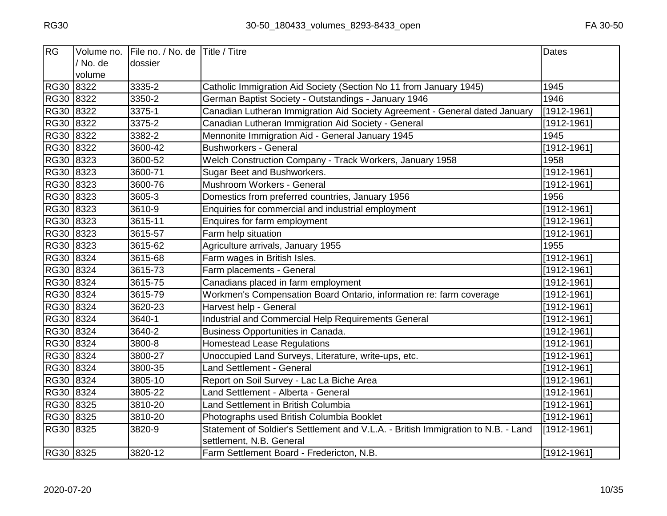| RG          | Volume no. | File no. / No. de Title / Titre |                                                                                   | <b>Dates</b>    |
|-------------|------------|---------------------------------|-----------------------------------------------------------------------------------|-----------------|
|             | / No. de   | dossier                         |                                                                                   |                 |
|             | volume     |                                 |                                                                                   |                 |
| RG30 8322   |            | 3335-2                          | Catholic Immigration Aid Society (Section No 11 from January 1945)                | 1945            |
| <b>RG30</b> | 8322       | 3350-2                          | German Baptist Society - Outstandings - January 1946                              | 1946            |
| <b>RG30</b> | 8322       | 3375-1                          | Canadian Lutheran Immigration Aid Society Agreement - General dated January       | $[1912 - 1961]$ |
| RG30 8322   |            | 3375-2                          | Canadian Lutheran Immigration Aid Society - General                               | [1912-1961]     |
| RG30 8322   |            | 3382-2                          | Mennonite Immigration Aid - General January 1945                                  | 1945            |
| RG30 8322   |            | 3600-42                         | <b>Bushworkers - General</b>                                                      | $[1912 - 1961]$ |
| RG30 8323   |            | 3600-52                         | Welch Construction Company - Track Workers, January 1958                          | 1958            |
| RG30 8323   |            | 3600-71                         | Sugar Beet and Bushworkers.                                                       | $[1912 - 1961]$ |
| RG30 8323   |            | 3600-76                         | Mushroom Workers - General                                                        | $[1912 - 1961]$ |
| RG30 8323   |            | 3605-3                          | Domestics from preferred countries, January 1956                                  | 1956            |
| RG30 8323   |            | 3610-9                          | Enquiries for commercial and industrial employment                                | $[1912 - 1961]$ |
| RG30 8323   |            | 3615-11                         | Enquires for farm employment                                                      | [1912-1961]     |
| RG30 8323   |            | 3615-57                         | Farm help situation                                                               | [1912-1961]     |
| RG30 8323   |            | 3615-62                         | Agriculture arrivals, January 1955                                                | 1955            |
| RG30 8324   |            | 3615-68                         | Farm wages in British Isles.                                                      | $[1912 - 1961]$ |
| RG30 8324   |            | 3615-73                         | Farm placements - General                                                         | $[1912 - 1961]$ |
| RG30 8324   |            | 3615-75                         | Canadians placed in farm employment                                               | $[1912 - 1961]$ |
| RG30 8324   |            | 3615-79                         | Workmen's Compensation Board Ontario, information re: farm coverage               | [1912-1961]     |
| RG30 8324   |            | 3620-23                         | Harvest help - General                                                            | $[1912 - 1961]$ |
| RG30 8324   |            | 3640-1                          | Industrial and Commercial Help Requirements General                               | $[1912 - 1961]$ |
| RG30 8324   |            | 3640-2                          | Business Opportunities in Canada.                                                 | $[1912 - 1961]$ |
| RG30 8324   |            | 3800-8                          | <b>Homestead Lease Regulations</b>                                                | [1912-1961]     |
| RG30 8324   |            | 3800-27                         | Unoccupied Land Surveys, Literature, write-ups, etc.                              | $[1912 - 1961]$ |
| RG30 8324   |            | 3800-35                         | Land Settlement - General                                                         | $[1912 - 1961]$ |
| RG30 8324   |            | 3805-10                         | Report on Soil Survey - Lac La Biche Area                                         | $[1912 - 1961]$ |
| RG30 8324   |            | 3805-22                         | Land Settlement - Alberta - General                                               | [1912-1961]     |
| RG30 8325   |            | 3810-20                         | Land Settlement in British Columbia                                               | [1912-1961]     |
| RG30 8325   |            | 3810-20                         | Photographs used British Columbia Booklet                                         | $[1912 - 1961]$ |
| RG30 8325   |            | 3820-9                          | Statement of Soldier's Settlement and V.L.A. - British Immigration to N.B. - Land | [1912-1961]     |
|             |            |                                 | settlement, N.B. General                                                          |                 |
| RG30 8325   |            | 3820-12                         | Farm Settlement Board - Fredericton, N.B.                                         | [1912-1961]     |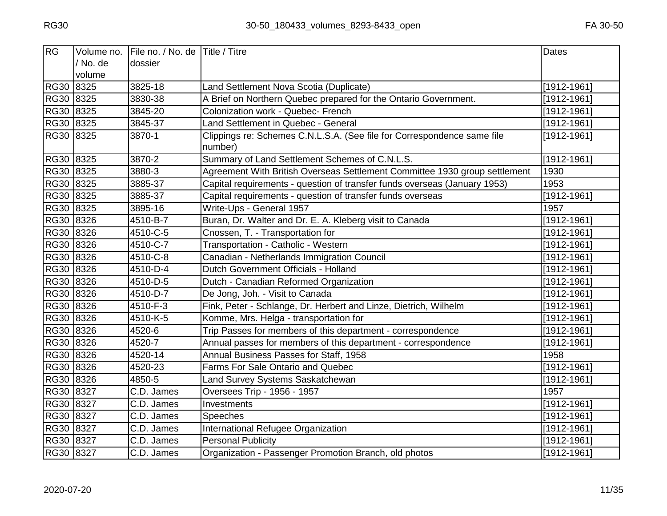| RG        | Volume no. | File no. / No. de Title / Titre |                                                                                    | Dates           |
|-----------|------------|---------------------------------|------------------------------------------------------------------------------------|-----------------|
|           | / No. de   | dossier                         |                                                                                    |                 |
|           | volume     |                                 |                                                                                    |                 |
| RG30 8325 |            | 3825-18                         | Land Settlement Nova Scotia (Duplicate)                                            | [1912-1961]     |
| RG30 8325 |            | 3830-38                         | A Brief on Northern Quebec prepared for the Ontario Government.                    | $[1912 - 1961]$ |
| RG30 8325 |            | 3845-20                         | <b>Colonization work - Quebec- French</b>                                          | $[1912 - 1961]$ |
| RG30 8325 |            | 3845-37                         | Land Settlement in Quebec - General                                                | [1912-1961]     |
| RG30 8325 |            | 3870-1                          | Clippings re: Schemes C.N.L.S.A. (See file for Correspondence same file<br>number) | $[1912 - 1961]$ |
| RG30 8325 |            | 3870-2                          | Summary of Land Settlement Schemes of C.N.L.S.                                     | [1912-1961]     |
| RG30 8325 |            | 3880-3                          | Agreement With British Overseas Settlement Committee 1930 group settlement         | 1930            |
| RG30 8325 |            | 3885-37                         | Capital requirements - question of transfer funds overseas (January 1953)          | 1953            |
| RG30 8325 |            | 3885-37                         | Capital requirements - question of transfer funds overseas                         | $[1912 - 1961]$ |
| RG30 8325 |            | 3895-16                         | Write-Ups - General 1957                                                           | 1957            |
| RG30 8326 |            | 4510-B-7                        | Buran, Dr. Walter and Dr. E. A. Kleberg visit to Canada                            | $[1912 - 1961]$ |
| RG30 8326 |            | 4510-C-5                        | Cnossen, T. - Transportation for                                                   | $[1912 - 1961]$ |
| RG30 8326 |            | 4510-C-7                        | Transportation - Catholic - Western                                                | $[1912 - 1961]$ |
| RG30 8326 |            | 4510-C-8                        | Canadian - Netherlands Immigration Council                                         | [1912-1961]     |
| RG30 8326 |            | 4510-D-4                        | Dutch Government Officials - Holland                                               | [1912-1961]     |
| RG30 8326 |            | 4510-D-5                        | Dutch - Canadian Reformed Organization                                             | $[1912 - 1961]$ |
| RG30 8326 |            | 4510-D-7                        | De Jong, Joh. - Visit to Canada                                                    | $[1912 - 1961]$ |
| RG30 8326 |            | 4510-F-3                        | Fink, Peter - Schlange, Dr. Herbert and Linze, Dietrich, Wilhelm                   | $[1912 - 1961]$ |
| RG30 8326 |            | 4510-K-5                        | Komme, Mrs. Helga - transportation for                                             | $[1912 - 1961]$ |
| RG30 8326 |            | 4520-6                          | Trip Passes for members of this department - correspondence                        | [1912-1961]     |
| RG30 8326 |            | 4520-7                          | Annual passes for members of this department - correspondence                      | $[1912 - 1961]$ |
| RG30 8326 |            | 4520-14                         | Annual Business Passes for Staff, 1958                                             | 1958            |
| RG30 8326 |            | 4520-23                         | <b>Farms For Sale Ontario and Quebec</b>                                           | [1912-1961]     |
| RG30 8326 |            | 4850-5                          | Land Survey Systems Saskatchewan                                                   | $[1912 - 1961]$ |
| RG30 8327 |            | C.D. James                      | Oversees Trip - 1956 - 1957                                                        | 1957            |
| RG30 8327 |            | C.D. James                      | Investments                                                                        | $[1912 - 1961]$ |
| RG30 8327 |            | C.D. James                      | Speeches                                                                           | $[1912 - 1961]$ |
| RG30 8327 |            | C.D. James                      | International Refugee Organization                                                 | [1912-1961]     |
| RG30 8327 |            | C.D. James                      | <b>Personal Publicity</b>                                                          | $[1912 - 1961]$ |
| RG30 8327 |            | C.D. James                      | Organization - Passenger Promotion Branch, old photos                              | [1912-1961]     |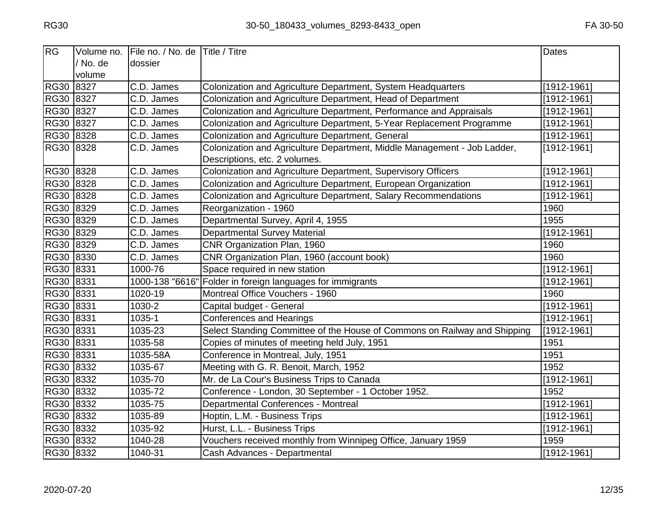| RG        | Volume no. | File no. / No. de Title / Titre |                                                                           | <b>Dates</b>    |
|-----------|------------|---------------------------------|---------------------------------------------------------------------------|-----------------|
|           | / No. de   | dossier                         |                                                                           |                 |
|           | volume     |                                 |                                                                           |                 |
| RG30 8327 |            | C.D. James                      | Colonization and Agriculture Department, System Headquarters              | $[1912 - 1961]$ |
| RG30 8327 |            | C.D. James                      | Colonization and Agriculture Department, Head of Department               | $[1912 - 1961]$ |
| RG30 8327 |            | C.D. James                      | Colonization and Agriculture Department, Performance and Appraisals       | $[1912 - 1961]$ |
| RG30 8327 |            | C.D. James                      | Colonization and Agriculture Department, 5-Year Replacement Programme     | [1912-1961]     |
| RG30 8328 |            | C.D. James                      | Colonization and Agriculture Department, General                          | $[1912 - 1961]$ |
| RG30 8328 |            | C.D. James                      | Colonization and Agriculture Department, Middle Management - Job Ladder,  | [1912-1961]     |
|           |            |                                 | Descriptions, etc. 2 volumes.                                             |                 |
| RG30 8328 |            | C.D. James                      | Colonization and Agriculture Department, Supervisory Officers             | $[1912 - 1961]$ |
| RG30 8328 |            | C.D. James                      | Colonization and Agriculture Department, European Organization            | [1912-1961]     |
| RG30 8328 |            | C.D. James                      | Colonization and Agriculture Department, Salary Recommendations           | $[1912-1961]$   |
| RG30 8329 |            | C.D. James                      | Reorganization - 1960                                                     | 1960            |
| RG30 8329 |            | C.D. James                      | Departmental Survey, April 4, 1955                                        | 1955            |
| RG30 8329 |            | C.D. James                      | Departmental Survey Material                                              | $[1912 - 1961]$ |
| RG30 8329 |            | C.D. James                      | CNR Organization Plan, 1960                                               | 1960            |
| RG30 8330 |            | C.D. James                      | CNR Organization Plan, 1960 (account book)                                | 1960            |
| RG30 8331 |            | 1000-76                         | Space required in new station                                             | [1912-1961]     |
| RG30 8331 |            |                                 | 1000-138 "6616" Folder in foreign languages for immigrants                | $[1912-1961]$   |
| RG30 8331 |            | 1020-19                         | Montreal Office Vouchers - 1960                                           | 1960            |
| RG30 8331 |            | 1030-2                          | Capital budget - General                                                  | $[1912 - 1961]$ |
| RG30 8331 |            | 1035-1                          | <b>Conferences and Hearings</b>                                           | [1912-1961]     |
| RG30 8331 |            | 1035-23                         | Select Standing Committee of the House of Commons on Railway and Shipping | [1912-1961]     |
| RG30 8331 |            | 1035-58                         | Copies of minutes of meeting held July, 1951                              | 1951            |
| RG30 8331 |            | 1035-58A                        | Conference in Montreal, July, 1951                                        | 1951            |
| RG30 8332 |            | 1035-67                         | Meeting with G. R. Benoit, March, 1952                                    | 1952            |
| RG30 8332 |            | 1035-70                         | Mr. de La Cour's Business Trips to Canada                                 | $[1912 - 1961]$ |
| RG30 8332 |            | 1035-72                         | Conference - London, 30 September - 1 October 1952.                       | 1952            |
| RG30 8332 |            | 1035-75                         | Departmental Conferences - Montreal                                       | $[1912 - 1961]$ |
| RG30 8332 |            | 1035-89                         | Hoptin, L.M. - Business Trips                                             | $[1912-1961]$   |
| RG30 8332 |            | 1035-92                         | Hurst, L.L. - Business Trips                                              | $[1912 - 1961]$ |
| RG30 8332 |            | 1040-28                         | Vouchers received monthly from Winnipeg Office, January 1959              | 1959            |
| RG30 8332 |            | 1040-31                         | Cash Advances - Departmental                                              | [1912-1961]     |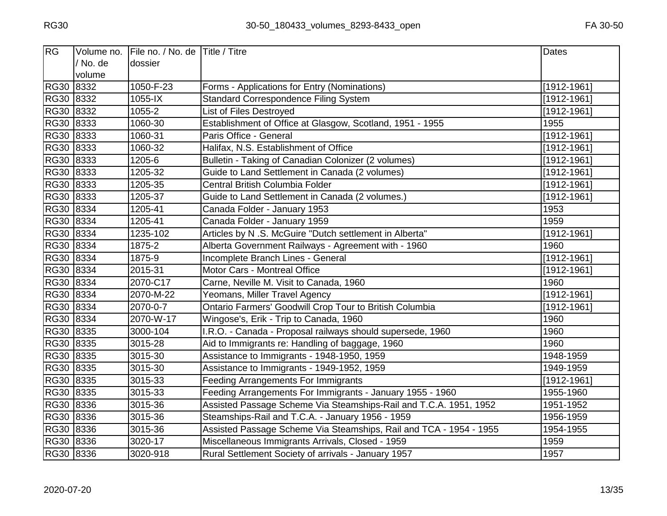| RG        | Volume no. | File no. / No. de Title / Titre |                                                                    | <b>Dates</b>    |
|-----------|------------|---------------------------------|--------------------------------------------------------------------|-----------------|
|           | / No. de   | dossier                         |                                                                    |                 |
|           | volume     |                                 |                                                                    |                 |
| RG30 8332 |            | 1050-F-23                       | Forms - Applications for Entry (Nominations)                       | $[1912 - 1961]$ |
| RG30 8332 |            | 1055-IX                         | <b>Standard Correspondence Filing System</b>                       | [1912-1961]     |
| RG30 8332 |            | 1055-2                          | List of Files Destroyed                                            | [1912-1961]     |
| RG30 8333 |            | 1060-30                         | Establishment of Office at Glasgow, Scotland, 1951 - 1955          | 1955            |
| RG30 8333 |            | 1060-31                         | Paris Office - General                                             | $[1912 - 1961]$ |
| RG30 8333 |            | 1060-32                         | Halifax, N.S. Establishment of Office                              | $[1912 - 1961]$ |
| RG30 8333 |            | 1205-6                          | Bulletin - Taking of Canadian Colonizer (2 volumes)                | $[1912 - 1961]$ |
| RG30 8333 |            | 1205-32                         | Guide to Land Settlement in Canada (2 volumes)                     | $[1912 - 1961]$ |
| RG30 8333 |            | 1205-35                         | Central British Columbia Folder                                    | $[1912 - 1961]$ |
| RG30 8333 |            | 1205-37                         | Guide to Land Settlement in Canada (2 volumes.)                    | $[1912 - 1961]$ |
| RG30 8334 |            | 1205-41                         | Canada Folder - January 1953                                       | 1953            |
| RG30 8334 |            | 1205-41                         | Canada Folder - January 1959                                       | 1959            |
| RG30 8334 |            | 1235-102                        | Articles by N.S. McGuire "Dutch settlement in Alberta"             | $[1912 - 1961]$ |
| RG30 8334 |            | 1875-2                          | Alberta Government Railways - Agreement with - 1960                | 1960            |
| RG30 8334 |            | 1875-9                          | Incomplete Branch Lines - General                                  | $[1912 - 1961]$ |
| RG30 8334 |            | 2015-31                         | Motor Cars - Montreal Office                                       | $[1912 - 1961]$ |
| RG30 8334 |            | 2070-C17                        | Carne, Neville M. Visit to Canada, 1960                            | 1960            |
| RG30 8334 |            | 2070-M-22                       | Yeomans, Miller Travel Agency                                      | $[1912 - 1961]$ |
| RG30 8334 |            | 2070-0-7                        | Ontario Farmers' Goodwill Crop Tour to British Columbia            | $[1912 - 1961]$ |
| RG30 8334 |            | 2070-W-17                       | Wingose's, Erik - Trip to Canada, 1960                             | 1960            |
| RG30 8335 |            | 3000-104                        | I.R.O. - Canada - Proposal railways should supersede, 1960         | 1960            |
| RG30 8335 |            | 3015-28                         | Aid to Immigrants re: Handling of baggage, 1960                    | 1960            |
| RG30 8335 |            | 3015-30                         | Assistance to Immigrants - 1948-1950, 1959                         | 1948-1959       |
| RG30 8335 |            | 3015-30                         | Assistance to Immigrants - 1949-1952, 1959                         | 1949-1959       |
| RG30 8335 |            | 3015-33                         | <b>Feeding Arrangements For Immigrants</b>                         | $[1912 - 1961]$ |
| RG30 8335 |            | 3015-33                         | Feeding Arrangements For Immigrants - January 1955 - 1960          | 1955-1960       |
| RG30 8336 |            | 3015-36                         | Assisted Passage Scheme Via Steamships-Rail and T.C.A. 1951, 1952  | 1951-1952       |
| RG30 8336 |            | 3015-36                         | Steamships-Rail and T.C.A. - January 1956 - 1959                   | 1956-1959       |
| RG30 8336 |            | 3015-36                         | Assisted Passage Scheme Via Steamships, Rail and TCA - 1954 - 1955 | 1954-1955       |
| RG30 8336 |            | 3020-17                         | Miscellaneous Immigrants Arrivals, Closed - 1959                   | 1959            |
| RG30 8336 |            | 3020-918                        | Rural Settlement Society of arrivals - January 1957                | 1957            |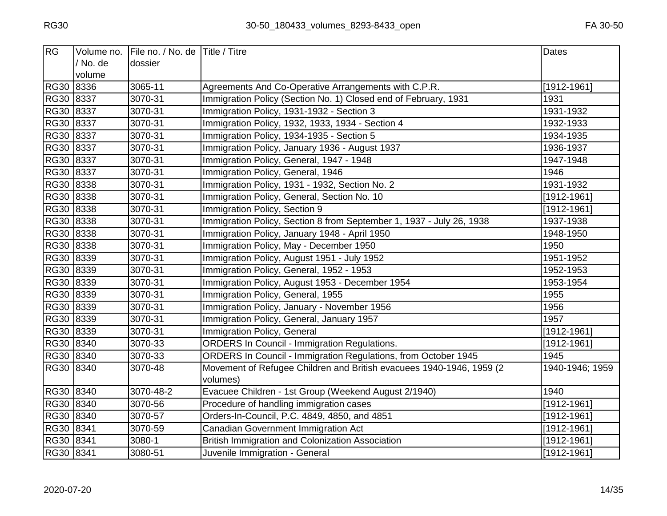| RG        | Volume no. | File no. / No. de Title / Titre |                                                                      | Dates           |
|-----------|------------|---------------------------------|----------------------------------------------------------------------|-----------------|
|           | / No. de   | dossier                         |                                                                      |                 |
|           | volume     |                                 |                                                                      |                 |
| RG30 8336 |            | 3065-11                         | Agreements And Co-Operative Arrangements with C.P.R.                 | $[1912-1961]$   |
| RG30 8337 |            | 3070-31                         | Immigration Policy (Section No. 1) Closed end of February, 1931      | 1931            |
| RG30 8337 |            | 3070-31                         | Immigration Policy, 1931-1932 - Section 3                            | 1931-1932       |
| RG30 8337 |            | 3070-31                         | Immigration Policy, 1932, 1933, 1934 - Section 4                     | 1932-1933       |
| RG30 8337 |            | 3070-31                         | Immigration Policy, 1934-1935 - Section 5                            | 1934-1935       |
| RG30 8337 |            | 3070-31                         | Immigration Policy, January 1936 - August 1937                       | 1936-1937       |
| RG30 8337 |            | 3070-31                         | Immigration Policy, General, 1947 - 1948                             | 1947-1948       |
| RG30 8337 |            | 3070-31                         | Immigration Policy, General, 1946                                    | 1946            |
| RG30 8338 |            | 3070-31                         | Immigration Policy, 1931 - 1932, Section No. 2                       | 1931-1932       |
| RG30 8338 |            | 3070-31                         | Immigration Policy, General, Section No. 10                          | $[1912 - 1961]$ |
| RG30 8338 |            | 3070-31                         | Immigration Policy, Section 9                                        | $[1912 - 1961]$ |
| RG30 8338 |            | 3070-31                         | Immigration Policy, Section 8 from September 1, 1937 - July 26, 1938 | 1937-1938       |
| RG30 8338 |            | 3070-31                         | Immigration Policy, January 1948 - April 1950                        | 1948-1950       |
| RG30 8338 |            | 3070-31                         | Immigration Policy, May - December 1950                              | 1950            |
| RG30 8339 |            | 3070-31                         | Immigration Policy, August 1951 - July 1952                          | 1951-1952       |
| RG30 8339 |            | 3070-31                         | Immigration Policy, General, 1952 - 1953                             | 1952-1953       |
| RG30 8339 |            | 3070-31                         | Immigration Policy, August 1953 - December 1954                      | 1953-1954       |
| RG30 8339 |            | 3070-31                         | Immigration Policy, General, 1955                                    | 1955            |
| RG30 8339 |            | 3070-31                         | Immigration Policy, January - November 1956                          | 1956            |
| RG30 8339 |            | 3070-31                         | Immigration Policy, General, January 1957                            | 1957            |
| RG30 8339 |            | 3070-31                         | <b>Immigration Policy, General</b>                                   | $[1912 - 1961]$ |
| RG30 8340 |            | 3070-33                         | <b>ORDERS In Council - Immigration Regulations.</b>                  | [1912-1961]     |
| RG30 8340 |            | 3070-33                         | ORDERS In Council - Immigration Regulations, from October 1945       | 1945            |
| RG30 8340 |            | 3070-48                         | Movement of Refugee Children and British evacuees 1940-1946, 1959 (2 | 1940-1946; 1959 |
|           |            |                                 | volumes)                                                             |                 |
| RG30 8340 |            | 3070-48-2                       | Evacuee Children - 1st Group (Weekend August 2/1940)                 | 1940            |
| RG30 8340 |            | 3070-56                         | Procedure of handling immigration cases                              | $[1912 - 1961]$ |
| RG30 8340 |            | 3070-57                         | Orders-In-Council, P.C. 4849, 4850, and 4851                         | $[1912 - 1961]$ |
| RG30 8341 |            | 3070-59                         | Canadian Government Immigration Act                                  | $[1912 - 1961]$ |
| RG30 8341 |            | 3080-1                          | British Immigration and Colonization Association                     | $[1912 - 1961]$ |
| RG30 8341 |            | 3080-51                         | Juvenile Immigration - General                                       | [1912-1961]     |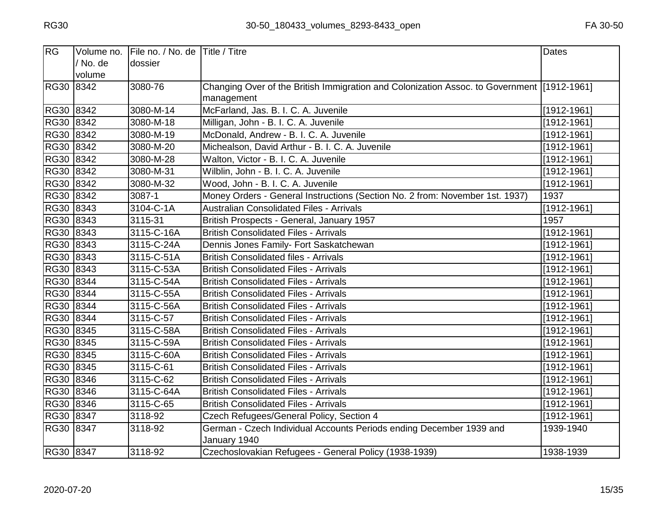| RG        | / No. de | Volume no. File no. / No. de Title / Titre<br>dossier |                                                                                            | Dates              |
|-----------|----------|-------------------------------------------------------|--------------------------------------------------------------------------------------------|--------------------|
|           | volume   |                                                       |                                                                                            |                    |
| RG30 8342 |          | 3080-76                                               | Changing Over of the British Immigration and Colonization Assoc. to Government [1912-1961] |                    |
|           |          |                                                       | management                                                                                 |                    |
| RG30 8342 |          | 3080-M-14                                             | McFarland, Jas. B. I. C. A. Juvenile                                                       | $[1912 - 1961]$    |
| RG30 8342 |          | 3080-M-18                                             | Milligan, John - B. I. C. A. Juvenile                                                      | $[1912 - 1961]$    |
| RG30 8342 |          | 3080-M-19                                             | McDonald, Andrew - B. I. C. A. Juvenile                                                    | $[1912 - 1961]$    |
| RG30 8342 |          | 3080-M-20                                             | Michealson, David Arthur - B. I. C. A. Juvenile                                            | $[1912-1961]$      |
| RG30 8342 |          | 3080-M-28                                             | Walton, Victor - B. I. C. A. Juvenile                                                      | $[1912 - 1961]$    |
| RG30 8342 |          | 3080-M-31                                             | Wilblin, John - B. I. C. A. Juvenile                                                       | $[1912 - 1961]$    |
| RG30 8342 |          | 3080-M-32                                             | Wood, John - B. I. C. A. Juvenile                                                          | $[1912 - 1961]$    |
| RG30 8342 |          | 3087-1                                                | Money Orders - General Instructions (Section No. 2 from: November 1st. 1937)               | 1937               |
| RG30 8343 |          | 3104-C-1A                                             | <b>Australian Consolidated Files - Arrivals</b>                                            | $[1912 - 1961]$    |
| RG30 8343 |          | 3115-31                                               | British Prospects - General, January 1957                                                  | 1957               |
| RG30 8343 |          | 3115-C-16A                                            | <b>British Consolidated Files - Arrivals</b>                                               | $[1912 - 1961]$    |
| RG30 8343 |          | 3115-C-24A                                            | Dennis Jones Family- Fort Saskatchewan                                                     | $[1912-1961]$      |
| RG30 8343 |          | 3115-C-51A                                            | <b>British Consolidated files - Arrivals</b>                                               | $\sqrt{1912-1961}$ |
| RG30 8343 |          | 3115-C-53A                                            | <b>British Consolidated Files - Arrivals</b>                                               | $[1912 - 1961]$    |
| RG30 8344 |          | 3115-C-54A                                            | <b>British Consolidated Files - Arrivals</b>                                               | $[1912 - 1961]$    |
| RG30 8344 |          | 3115-C-55A                                            | <b>British Consolidated Files - Arrivals</b>                                               | $[1912 - 1961]$    |
| RG30 8344 |          | 3115-C-56A                                            | <b>British Consolidated Files - Arrivals</b>                                               | $[1912-1961]$      |
| RG30 8344 |          | 3115-C-57                                             | <b>British Consolidated Files - Arrivals</b>                                               | $[1912 - 1961]$    |
| RG30 8345 |          | 3115-C-58A                                            | <b>British Consolidated Files - Arrivals</b>                                               | $[1912 - 1961]$    |
| RG30 8345 |          | 3115-C-59A                                            | <b>British Consolidated Files - Arrivals</b>                                               | $[1912 - 1961]$    |
| RG30 8345 |          | 3115-C-60A                                            | <b>British Consolidated Files - Arrivals</b>                                               | $[1912-1961]$      |
| RG30 8345 |          | 3115-C-61                                             | <b>British Consolidated Files - Arrivals</b>                                               | $[1912 - 1961]$    |
| RG30 8346 |          | 3115-C-62                                             | <b>British Consolidated Files - Arrivals</b>                                               | $[1912 - 1961]$    |
| RG30 8346 |          | 3115-C-64A                                            | <b>British Consolidated Files - Arrivals</b>                                               | $[1912 - 1961]$    |
| RG30 8346 |          | 3115-C-65                                             | <b>British Consolidated Files - Arrivals</b>                                               | $[1912 - 1961]$    |
| RG30 8347 |          | 3118-92                                               | Czech Refugees/General Policy, Section 4                                                   | $[1912 - 1961]$    |
| RG30 8347 |          | 3118-92                                               | German - Czech Individual Accounts Periods ending December 1939 and                        | 1939-1940          |
|           |          |                                                       | January 1940                                                                               |                    |
| RG30 8347 |          | 3118-92                                               | Czechoslovakian Refugees - General Policy (1938-1939)                                      | 1938-1939          |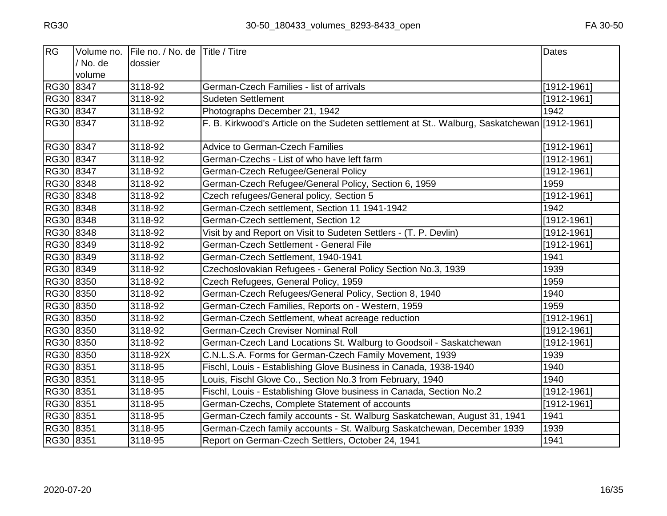| <b>RG</b>   | Volume no. | File no. / No. de Title / Titre |                                                                                            | Dates           |
|-------------|------------|---------------------------------|--------------------------------------------------------------------------------------------|-----------------|
|             | / No. de   | dossier                         |                                                                                            |                 |
|             | volume     |                                 |                                                                                            |                 |
| <b>RG30</b> | 8347       | 3118-92                         | German-Czech Families - list of arrivals                                                   | [1912-1961]     |
| RG30 8347   |            | 3118-92                         | <b>Sudeten Settlement</b>                                                                  | [1912-1961]     |
| RG30 8347   |            | 3118-92                         | Photographs December 21, 1942                                                              | 1942            |
| RG30 8347   |            | 3118-92                         | F. B. Kirkwood's Article on the Sudeten settlement at St Walburg, Saskatchewan [1912-1961] |                 |
| RG30 8347   |            | 3118-92                         | <b>Advice to German-Czech Families</b>                                                     | [1912-1961]     |
| RG30 8347   |            | 3118-92                         | German-Czechs - List of who have left farm                                                 | [1912-1961]     |
| RG30 8347   |            | 3118-92                         | German-Czech Refugee/General Policy                                                        | $[1912 - 1961]$ |
| RG30 8348   |            | 3118-92                         | German-Czech Refugee/General Policy, Section 6, 1959                                       | 1959            |
| RG30 8348   |            | 3118-92                         | Czech refugees/General policy, Section 5                                                   | [1912-1961]     |
| RG30 8348   |            | 3118-92                         | German-Czech settlement, Section 11 1941-1942                                              | 1942            |
| RG30 8348   |            | 3118-92                         | German-Czech settlement, Section 12                                                        | [1912-1961]     |
| RG30 8348   |            | 3118-92                         | Visit by and Report on Visit to Sudeten Settlers - (T. P. Devlin)                          | [1912-1961]     |
| RG30 8349   |            | 3118-92                         | German-Czech Settlement - General File                                                     | [1912-1961]     |
| RG30 8349   |            | 3118-92                         | German-Czech Settlement, 1940-1941                                                         | 1941            |
| RG30 8349   |            | 3118-92                         | Czechoslovakian Refugees - General Policy Section No.3, 1939                               | 1939            |
| RG30 8350   |            | 3118-92                         | Czech Refugees, General Policy, 1959                                                       | 1959            |
| RG30 8350   |            | 3118-92                         | German-Czech Refugees/General Policy, Section 8, 1940                                      | 1940            |
| RG30 8350   |            | 3118-92                         | German-Czech Families, Reports on - Western, 1959                                          | 1959            |
| RG30 8350   |            | 3118-92                         | German-Czech Settlement, wheat acreage reduction                                           | $[1912 - 1961]$ |
| RG30 8350   |            | 3118-92                         | German-Czech Creviser Nominal Roll                                                         | [1912-1961]     |
| RG30 8350   |            | 3118-92                         | German-Czech Land Locations St. Walburg to Goodsoil - Saskatchewan                         | $[1912 - 1961]$ |
| RG30 8350   |            | 3118-92X                        | C.N.L.S.A. Forms for German-Czech Family Movement, 1939                                    | 1939            |
| RG30 8351   |            | 3118-95                         | Fischl, Louis - Establishing Glove Business in Canada, 1938-1940                           | 1940            |
| RG30 8351   |            | 3118-95                         | Louis, Fischl Glove Co., Section No.3 from February, 1940                                  | 1940            |
| RG30 8351   |            | 3118-95                         | Fischl, Louis - Establishing Glove business in Canada, Section No.2                        | $[1912 - 1961]$ |
| RG30 8351   |            | 3118-95                         | German-Czechs, Complete Statement of accounts                                              | [1912-1961]     |
| RG30 8351   |            | 3118-95                         | German-Czech family accounts - St. Walburg Saskatchewan, August 31, 1941                   | 1941            |
| RG30 8351   |            | 3118-95                         | German-Czech family accounts - St. Walburg Saskatchewan, December 1939                     | 1939            |
| RG30 8351   |            | 3118-95                         | Report on German-Czech Settlers, October 24, 1941                                          | 1941            |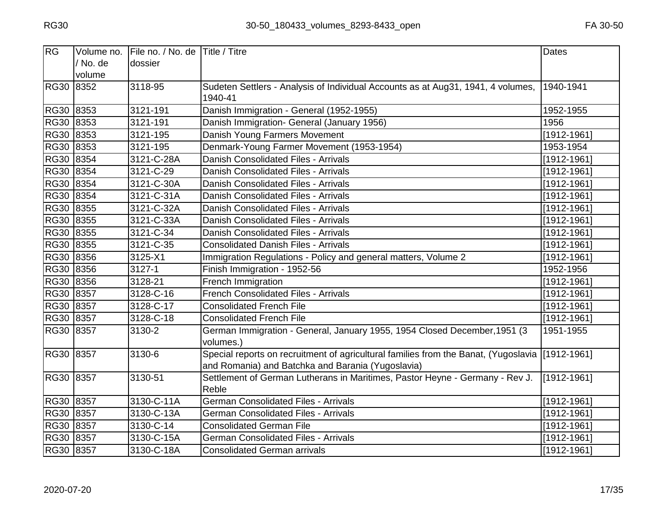| <b>RG</b> | Volume no. | File no. / No. de Title / Titre |                                                                                                                                                       | <b>Dates</b>    |
|-----------|------------|---------------------------------|-------------------------------------------------------------------------------------------------------------------------------------------------------|-----------------|
|           | / No. de   | dossier                         |                                                                                                                                                       |                 |
| RG30 8352 | volume     | 3118-95                         | Sudeten Settlers - Analysis of Individual Accounts as at Aug31, 1941, 4 volumes,                                                                      | 1940-1941       |
|           |            |                                 | 1940-41                                                                                                                                               |                 |
| RG30 8353 |            | 3121-191                        | Danish Immigration - General (1952-1955)                                                                                                              | 1952-1955       |
| RG30 8353 |            | 3121-191                        | Danish Immigration- General (January 1956)                                                                                                            | 1956            |
| RG30 8353 |            | 3121-195                        | Danish Young Farmers Movement                                                                                                                         | $[1912 - 1961]$ |
| RG30 8353 |            | 3121-195                        | Denmark-Young Farmer Movement (1953-1954)                                                                                                             | 1953-1954       |
| RG30 8354 |            | 3121-C-28A                      | Danish Consolidated Files - Arrivals                                                                                                                  | $[1912 - 1961]$ |
| RG30 8354 |            | 3121-C-29                       | Danish Consolidated Files - Arrivals                                                                                                                  | $[1912 - 1961]$ |
| RG30 8354 |            | 3121-C-30A                      | Danish Consolidated Files - Arrivals                                                                                                                  | $[1912 - 1961]$ |
| RG30 8354 |            | 3121-C-31A                      | Danish Consolidated Files - Arrivals                                                                                                                  | $[1912 - 1961]$ |
| RG30 8355 |            | 3121-C-32A                      | Danish Consolidated Files - Arrivals                                                                                                                  | $[1912 - 1961]$ |
| RG30 8355 |            | 3121-C-33A                      | Danish Consolidated Files - Arrivals                                                                                                                  | $[1912 - 1961]$ |
| RG30 8355 |            | 3121-C-34                       | Danish Consolidated Files - Arrivals                                                                                                                  | $[1912 - 1961]$ |
| RG30 8355 |            | 3121-C-35                       | <b>Consolidated Danish Files - Arrivals</b>                                                                                                           | $[1912 - 1961]$ |
| RG30 8356 |            | $3125 - X1$                     | Immigration Regulations - Policy and general matters, Volume 2                                                                                        | $[1912 - 1961]$ |
| RG30 8356 |            | 3127-1                          | Finish Immigration - 1952-56                                                                                                                          | 1952-1956       |
| RG30 8356 |            | 3128-21                         | French Immigration                                                                                                                                    | $[1912-1961]$   |
| RG30 8357 |            | 3128-C-16                       | <b>French Consolidated Files - Arrivals</b>                                                                                                           | $[1912-1961]$   |
| RG30 8357 |            | 3128-C-17                       | <b>Consolidated French File</b>                                                                                                                       | 1912-1961]      |
| RG30 8357 |            | 3128-C-18                       | <b>Consolidated French File</b>                                                                                                                       | $[1912 - 1961]$ |
| RG30 8357 |            | 3130-2                          | German Immigration - General, January 1955, 1954 Closed December, 1951 (3<br>volumes.)                                                                | 1951-1955       |
| RG30 8357 |            | 3130-6                          | Special reports on recruitment of agricultural families from the Banat, (Yugoslavia  [1912-1961]<br>and Romania) and Batchka and Barania (Yugoslavia) |                 |
| RG30 8357 |            | 3130-51                         | Settlement of German Lutherans in Maritimes, Pastor Heyne - Germany - Rev J.<br>Reble                                                                 | $[1912-1961]$   |
| RG30 8357 |            | 3130-C-11A                      | <b>German Consolidated Files - Arrivals</b>                                                                                                           | $[1912 - 1961]$ |
| RG30 8357 |            | 3130-C-13A                      | <b>German Consolidated Files - Arrivals</b>                                                                                                           | $[1912 - 1961]$ |
| RG30 8357 |            | 3130-C-14                       | <b>Consolidated German File</b>                                                                                                                       | $[1912 - 1961]$ |
| RG30 8357 |            | 3130-C-15A                      | <b>German Consolidated Files - Arrivals</b>                                                                                                           | $[1912 - 1961]$ |
| RG30 8357 |            | 3130-C-18A                      | <b>Consolidated German arrivals</b>                                                                                                                   | [1912-1961]     |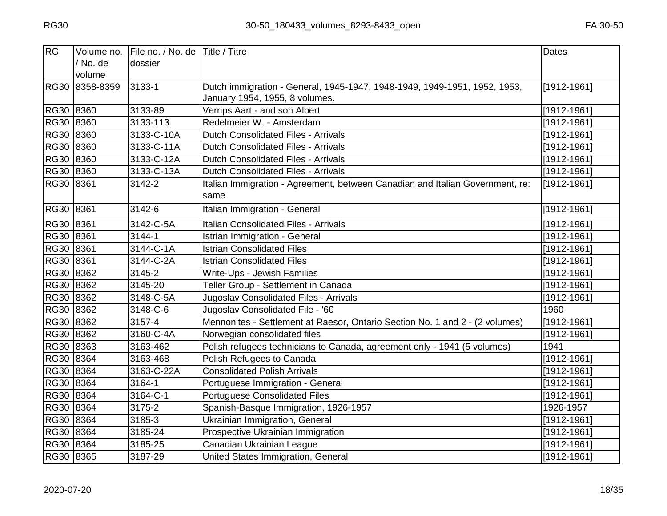| <b>RG</b> | Volume no.<br>/ No. de<br>volume | File no. / No. de Title / Titre<br>dossier |                                                                                                             | <b>Dates</b>    |
|-----------|----------------------------------|--------------------------------------------|-------------------------------------------------------------------------------------------------------------|-----------------|
|           | RG30 8358-8359                   | 3133-1                                     | Dutch immigration - General, 1945-1947, 1948-1949, 1949-1951, 1952, 1953,<br>January 1954, 1955, 8 volumes. | $[1912-1961]$   |
| RG30 8360 |                                  | 3133-89                                    | Verrips Aart - and son Albert                                                                               | $[1912 - 1961]$ |
| RG30 8360 |                                  | 3133-113                                   | Redelmeier W. - Amsterdam                                                                                   | $[1912 - 1961]$ |
| RG30 8360 |                                  | 3133-C-10A                                 | Dutch Consolidated Files - Arrivals                                                                         | $[1912 - 1961]$ |
| RG30 8360 |                                  | 3133-C-11A                                 | Dutch Consolidated Files - Arrivals                                                                         | $[1912 - 1961]$ |
| RG30 8360 |                                  | 3133-C-12A                                 | Dutch Consolidated Files - Arrivals                                                                         | $[1912 - 1961]$ |
| RG30 8360 |                                  | 3133-C-13A                                 | <b>Dutch Consolidated Files - Arrivals</b>                                                                  | $[1912 - 1961]$ |
| RG30 8361 |                                  | 3142-2                                     | Italian Immigration - Agreement, between Canadian and Italian Government, re:<br>same                       | $[1912-1961]$   |
| RG30 8361 |                                  | 3142-6                                     | Italian Immigration - General                                                                               | $[1912 - 1961]$ |
| RG30 8361 |                                  | 3142-C-5A                                  | <b>Italian Consolidated Files - Arrivals</b>                                                                | $[1912-1961]$   |
| RG30 8361 |                                  | 3144-1                                     | <b>Istrian Immigration - General</b>                                                                        | $[1912 - 1961]$ |
| RG30 8361 |                                  | 3144-C-1A                                  | <b>Istrian Consolidated Files</b>                                                                           | [1912-1961]     |
| RG30 8361 |                                  | 3144-C-2A                                  | <b>Istrian Consolidated Files</b>                                                                           | $[1912 - 1961]$ |
| RG30 8362 |                                  | 3145-2                                     | Write-Ups - Jewish Families                                                                                 | $[1912 - 1961]$ |
| RG30 8362 |                                  | 3145-20                                    | Teller Group - Settlement in Canada                                                                         | $[1912 - 1961]$ |
| RG30 8362 |                                  | 3148-C-5A                                  | Jugoslav Consolidated Files - Arrivals                                                                      | $[1912 - 1961]$ |
| RG30 8362 |                                  | 3148-C-6                                   | Jugoslav Consolidated File - '60                                                                            | 1960            |
| RG30 8362 |                                  | 3157-4                                     | Mennonites - Settlement at Raesor, Ontario Section No. 1 and 2 - (2 volumes)                                | $[1912 - 1961]$ |
| RG30 8362 |                                  | 3160-C-4A                                  | Norwegian consolidated files                                                                                | $[1912 - 1961]$ |
| RG30 8363 |                                  | 3163-462                                   | Polish refugees technicians to Canada, agreement only - 1941 (5 volumes)                                    | 1941            |
| RG30 8364 |                                  | 3163-468                                   | Polish Refugees to Canada                                                                                   | $[1912 - 1961]$ |
| RG30 8364 |                                  | 3163-C-22A                                 | <b>Consolidated Polish Arrivals</b>                                                                         | $[1912 - 1961]$ |
| RG30 8364 |                                  | $3164 - 1$                                 | Portuguese Immigration - General                                                                            | $[1912 - 1961]$ |
| RG30 8364 |                                  | 3164-C-1                                   | <b>Portuguese Consolidated Files</b>                                                                        | $[1912 - 1961]$ |
| RG30 8364 |                                  | 3175-2                                     | Spanish-Basque Immigration, 1926-1957                                                                       | 1926-1957       |
| RG30 8364 |                                  | 3185-3                                     | <b>Ukrainian Immigration, General</b>                                                                       | $[1912 - 1961]$ |
| RG30 8364 |                                  | 3185-24                                    | Prospective Ukrainian Immigration                                                                           | $[1912 - 1961]$ |
| RG30 8364 |                                  | 3185-25                                    | Canadian Ukrainian League                                                                                   | $[1912 - 1961]$ |
| RG30 8365 |                                  | 3187-29                                    | United States Immigration, General                                                                          | $[1912 - 1961]$ |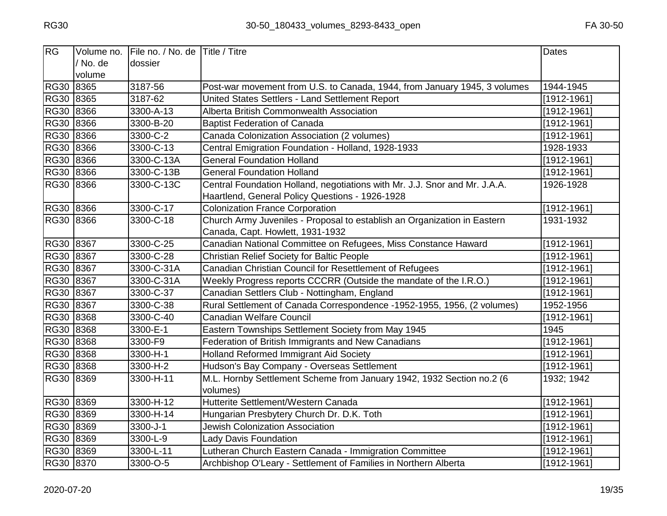| RG          | Volume no. | File no. / No. de Title / Titre |                                                                            | <b>Dates</b>    |
|-------------|------------|---------------------------------|----------------------------------------------------------------------------|-----------------|
|             | / No. de   | dossier                         |                                                                            |                 |
|             | volume     |                                 |                                                                            |                 |
| RG30 8365   |            | 3187-56                         | Post-war movement from U.S. to Canada, 1944, from January 1945, 3 volumes  | 1944-1945       |
| RG30        | 8365       | 3187-62                         | United States Settlers - Land Settlement Report                            | [1912-1961]     |
| RG30 8366   |            | 3300-A-13                       | Alberta British Commonwealth Association                                   | [1912-1961]     |
| RG30 8366   |            | 3300-B-20                       | <b>Baptist Federation of Canada</b>                                        | [1912-1961]     |
| <b>RG30</b> | 8366       | 3300-C-2                        | Canada Colonization Association (2 volumes)                                | $[1912 - 1961]$ |
| RG30 8366   |            | 3300-C-13                       | Central Emigration Foundation - Holland, 1928-1933                         | 1928-1933       |
| RG30 8366   |            | 3300-C-13A                      | <b>General Foundation Holland</b>                                          | [1912-1961]     |
| RG30 8366   |            | 3300-C-13B                      | <b>General Foundation Holland</b>                                          | $[1912 - 1961]$ |
| RG30 8366   |            | 3300-C-13C                      | Central Foundation Holland, negotiations with Mr. J.J. Snor and Mr. J.A.A. | 1926-1928       |
|             |            |                                 | Haartlend, General Policy Questions - 1926-1928                            |                 |
| RG30 8366   |            | 3300-C-17                       | <b>Colonization France Corporation</b>                                     | [1912-1961]     |
| RG30 8366   |            | 3300-C-18                       | Church Army Juveniles - Proposal to establish an Organization in Eastern   | 1931-1932       |
|             |            |                                 | Canada, Capt. Howlett, 1931-1932                                           |                 |
| RG30 8367   |            | 3300-C-25                       | Canadian National Committee on Refugees, Miss Constance Haward             | $[1912 - 1961]$ |
| RG30 8367   |            | 3300-C-28                       | Christian Relief Society for Baltic People                                 | $[1912 - 1961]$ |
| RG30 8367   |            | 3300-C-31A                      | Canadian Christian Council for Resettlement of Refugees                    | $[1912 - 1961]$ |
| RG30 8367   |            | 3300-C-31A                      | Weekly Progress reports CCCRR (Outside the mandate of the I.R.O.)          | [1912-1961]     |
| RG30 8367   |            | 3300-C-37                       | Canadian Settlers Club - Nottingham, England                               | [1912-1961]     |
| RG30 8367   |            | 3300-C-38                       | Rural Settlement of Canada Correspondence -1952-1955, 1956, (2 volumes)    | 1952-1956       |
| RG30 8368   |            | 3300-C-40                       | Canadian Welfare Council                                                   | $[1912 - 1961]$ |
| RG30 8368   |            | 3300-E-1                        | Eastern Townships Settlement Society from May 1945                         | 1945            |
| RG30 8368   |            | 3300-F9                         | Federation of British Immigrants and New Canadians                         | $[1912 - 1961]$ |
| RG30 8368   |            | 3300-H-1                        | <b>Holland Reformed Immigrant Aid Society</b>                              | $[1912 - 1961]$ |
| RG30 8368   |            | 3300-H-2                        | Hudson's Bay Company - Overseas Settlement                                 | [1912-1961]     |
| RG30 8369   |            | 3300-H-11                       | M.L. Hornby Settlement Scheme from January 1942, 1932 Section no.2 (6      | 1932; 1942      |
|             |            |                                 | volumes)                                                                   |                 |
| RG30 8369   |            | 3300-H-12                       | Hutterite Settlement/Western Canada                                        | $[1912 - 1961]$ |
| RG30 8369   |            | 3300-H-14                       | Hungarian Presbytery Church Dr. D.K. Toth                                  | $[1912 - 1961]$ |
| RG30 8369   |            | 3300-J-1                        | <b>Jewish Colonization Association</b>                                     | $[1912 - 1961]$ |
| RG30 8369   |            | 3300-L-9                        | <b>Lady Davis Foundation</b>                                               | $[1912 - 1961]$ |
| RG30 8369   |            | 3300-L-11                       | Lutheran Church Eastern Canada - Immigration Committee                     | $[1912 - 1961]$ |
| RG30 8370   |            | 3300-O-5                        | Archbishop O'Leary - Settlement of Families in Northern Alberta            | [1912-1961]     |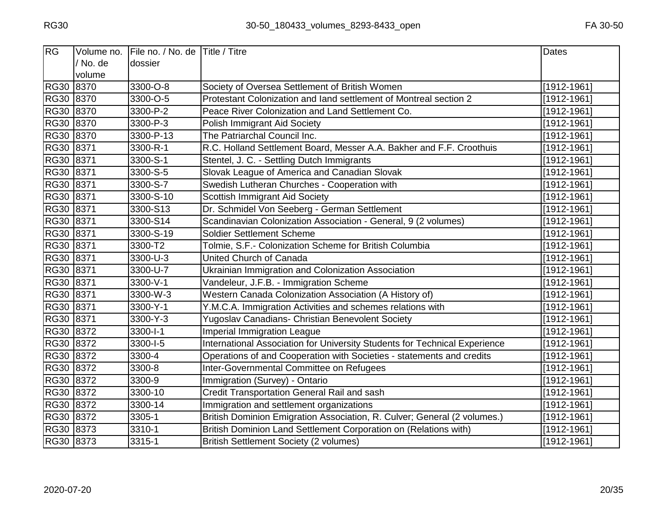| RG        | Volume no. | File no. / No. de Title / Titre |                                                                            | Dates           |
|-----------|------------|---------------------------------|----------------------------------------------------------------------------|-----------------|
|           | / No. de   | dossier                         |                                                                            |                 |
|           | volume     |                                 |                                                                            |                 |
| RG30 8370 |            | 3300-O-8                        | Society of Oversea Settlement of British Women                             | $[1912 - 1961]$ |
| RG30 8370 |            | 3300-O-5                        | Protestant Colonization and land settlement of Montreal section 2          | $[1912 - 1961]$ |
| RG30 8370 |            | 3300-P-2                        | Peace River Colonization and Land Settlement Co.                           | [1912-1961]     |
| RG30 8370 |            | 3300-P-3                        | <b>Polish Immigrant Aid Society</b>                                        | $[1912 - 1961]$ |
| RG30 8370 |            | 3300-P-13                       | The Patriarchal Council Inc.                                               | $[1912 - 1961]$ |
| RG30 8371 |            | 3300-R-1                        | R.C. Holland Settlement Board, Messer A.A. Bakher and F.F. Croothuis       | $[1912-1961]$   |
| RG30 8371 |            | 3300-S-1                        | Stentel, J. C. - Settling Dutch Immigrants                                 | $[1912 - 1961]$ |
| RG30 8371 |            | 3300-S-5                        | Slovak League of America and Canadian Slovak                               | $[1912 - 1961]$ |
| RG30 8371 |            | 3300-S-7                        | Swedish Lutheran Churches - Cooperation with                               | $[1912 - 1961]$ |
| RG30 8371 |            | 3300-S-10                       | Scottish Immigrant Aid Society                                             | [1912-1961]     |
| RG30 8371 |            | 3300-S13                        | Dr. Schmidel Von Seeberg - German Settlement                               | $[1912 - 1961]$ |
| RG30 8371 |            | 3300-S14                        | Scandinavian Colonization Association - General, 9 (2 volumes)             | $[1912 - 1961]$ |
| RG30 8371 |            | 3300-S-19                       | <b>Soldier Settlement Scheme</b>                                           | [1912-1961]     |
| RG30 8371 |            | 3300-T2                         | Tolmie, S.F.- Colonization Scheme for British Columbia                     | $[1912 - 1961]$ |
| RG30 8371 |            | 3300-U-3                        | United Church of Canada                                                    | $[1912 - 1961]$ |
| RG30 8371 |            | 3300-U-7                        | Ukrainian Immigration and Colonization Association                         | $[1912 - 1961]$ |
| RG30 8371 |            | 3300-V-1                        | Vandeleur, J.F.B. - Immigration Scheme                                     | $[1912 - 1961]$ |
| RG30 8371 |            | 3300-W-3                        | Western Canada Colonization Association (A History of)                     | $[1912 - 1961]$ |
| RG30 8371 |            | 3300-Y-1                        | Y.M.C.A. Immigration Activities and schemes relations with                 | $[1912 - 1961]$ |
| RG30 8371 |            | 3300-Y-3                        | Yugoslav Canadians- Christian Benevolent Society                           | [1912-1961]     |
| RG30 8372 |            | 3300-l-1                        | <b>Imperial Immigration League</b>                                         | $[1912 - 1961]$ |
| RG30 8372 |            | 3300-l-5                        | International Association for University Students for Technical Experience | $[1912 - 1961]$ |
| RG30 8372 |            | 3300-4                          | Operations of and Cooperation with Societies - statements and credits      | $[1912 - 1961]$ |
| RG30 8372 |            | 3300-8                          | Inter-Governmental Committee on Refugees                                   | $[1912 - 1961]$ |
| RG30 8372 |            | 3300-9                          | Immigration (Survey) - Ontario                                             | $[1912 - 1961]$ |
| RG30 8372 |            | 3300-10                         | Credit Transportation General Rail and sash                                | $[1912 - 1961]$ |
| RG30 8372 |            | 3300-14                         | Immigration and settlement organizations                                   | $[1912 - 1961]$ |
| RG30 8372 |            | 3305-1                          | British Dominion Emigration Association, R. Culver; General (2 volumes.)   | $[1912 - 1961]$ |
| RG30 8373 |            | 3310-1                          | British Dominion Land Settlement Corporation on (Relations with)           | $[1912 - 1961]$ |
| RG30 8373 |            | 3315-1                          | <b>British Settlement Society (2 volumes)</b>                              | [1912-1961]     |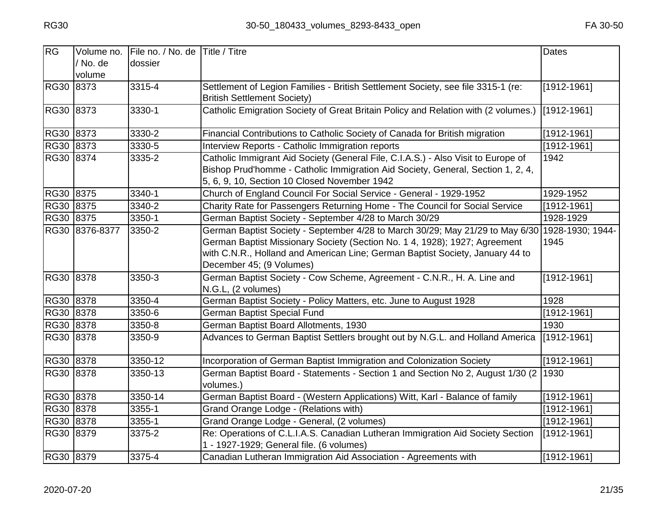| RG        | Volume no.<br>/ No. de<br>volume | File no. / No. de Title / Titre<br>dossier |                                                                                                                                                                                                                                                                          | <b>Dates</b>             |
|-----------|----------------------------------|--------------------------------------------|--------------------------------------------------------------------------------------------------------------------------------------------------------------------------------------------------------------------------------------------------------------------------|--------------------------|
| RG30 8373 |                                  | 3315-4                                     | Settlement of Legion Families - British Settlement Society, see file 3315-1 (re:<br><b>British Settlement Society)</b>                                                                                                                                                   | [1912-1961]              |
| RG30 8373 |                                  | 3330-1                                     | Catholic Emigration Society of Great Britain Policy and Relation with (2 volumes.)                                                                                                                                                                                       | [1912-1961]              |
| RG30 8373 |                                  | 3330-2                                     | Financial Contributions to Catholic Society of Canada for British migration                                                                                                                                                                                              | [1912-1961]              |
| RG30 8373 |                                  | 3330-5                                     | Interview Reports - Catholic Immigration reports                                                                                                                                                                                                                         | $[1912 - 1961]$          |
| RG30 8374 |                                  | 3335-2                                     | Catholic Immigrant Aid Society (General File, C.I.A.S.) - Also Visit to Europe of<br>Bishop Prud'homme - Catholic Immigration Aid Society, General, Section 1, 2, 4,<br>5, 6, 9, 10, Section 10 Closed November 1942                                                     | 1942                     |
| RG30 8375 |                                  | 3340-1                                     | Church of England Council For Social Service - General - 1929-1952                                                                                                                                                                                                       | 1929-1952                |
| RG30 8375 |                                  | 3340-2                                     | Charity Rate for Passengers Returning Home - The Council for Social Service                                                                                                                                                                                              | $[1912 - 1961]$          |
| RG30 8375 |                                  | 3350-1                                     | German Baptist Society - September 4/28 to March 30/29                                                                                                                                                                                                                   | 1928-1929                |
|           | RG30 8376-8377                   | 3350-2                                     | German Baptist Society - September 4/28 to March 30/29; May 21/29 to May 6/30<br>German Baptist Missionary Society (Section No. 1 4, 1928); 1927; Agreement<br>with C.N.R., Holland and American Line; German Baptist Society, January 44 to<br>December 45; (9 Volumes) | 1928-1930; 1944-<br>1945 |
| RG30 8378 |                                  | 3350-3                                     | German Baptist Society - Cow Scheme, Agreement - C.N.R., H. A. Line and<br>N.G.L, (2 volumes)                                                                                                                                                                            | [1912-1961]              |
| RG30 8378 |                                  | 3350-4                                     | German Baptist Society - Policy Matters, etc. June to August 1928                                                                                                                                                                                                        | 1928                     |
| RG30 8378 |                                  | 3350-6                                     | German Baptist Special Fund                                                                                                                                                                                                                                              | $[1912 - 1961]$          |
| RG30 8378 |                                  | 3350-8                                     | German Baptist Board Allotments, 1930                                                                                                                                                                                                                                    | 1930                     |
| RG30 8378 |                                  | 3350-9                                     | Advances to German Baptist Settlers brought out by N.G.L. and Holland America                                                                                                                                                                                            | [1912-1961]              |
| RG30 8378 |                                  | 3350-12                                    | Incorporation of German Baptist Immigration and Colonization Society                                                                                                                                                                                                     | [1912-1961]              |
| RG30 8378 |                                  | 3350-13                                    | German Baptist Board - Statements - Section 1 and Section No 2, August 1/30 (2<br>volumes.)                                                                                                                                                                              | 1930                     |
| RG30 8378 |                                  | 3350-14                                    | German Baptist Board - (Western Applications) Witt, Karl - Balance of family                                                                                                                                                                                             | $[1912 - 1961]$          |
| RG30 8378 |                                  | 3355-1                                     | Grand Orange Lodge - (Relations with)                                                                                                                                                                                                                                    | $[1912 - 1961]$          |
| RG30 8378 |                                  | 3355-1                                     | Grand Orange Lodge - General, (2 volumes)                                                                                                                                                                                                                                | [1912-1961]              |
| RG30 8379 |                                  | 3375-2                                     | Re: Operations of C.L.I.A.S. Canadian Lutheran Immigration Aid Society Section<br>1 - 1927-1929; General file. (6 volumes)                                                                                                                                               | [1912-1961]              |
| RG30 8379 |                                  | 3375-4                                     | Canadian Lutheran Immigration Aid Association - Agreements with                                                                                                                                                                                                          | [1912-1961]              |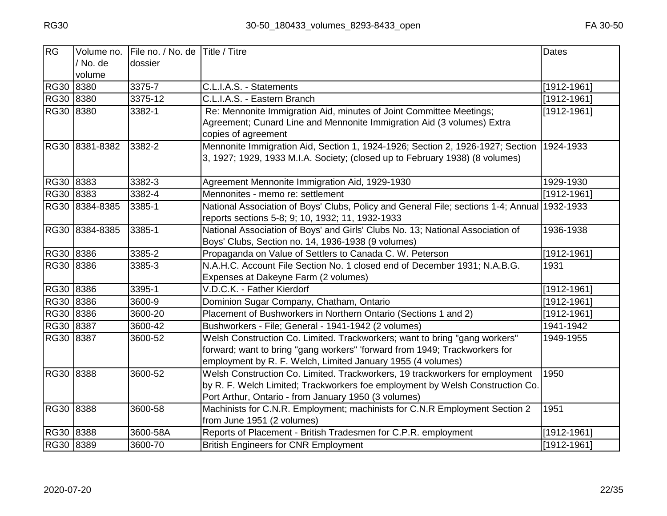| <b>RG</b>   | Volume no.<br>/ No. de<br>volume | File no. / No. de Title / Titre<br>dossier |                                                                                                                                                                                                                         | Dates           |
|-------------|----------------------------------|--------------------------------------------|-------------------------------------------------------------------------------------------------------------------------------------------------------------------------------------------------------------------------|-----------------|
| <b>RG30</b> | 8380                             | 3375-7                                     | C.L.I.A.S. - Statements                                                                                                                                                                                                 | [1912-1961]     |
| RG30 8380   |                                  | 3375-12                                    | C.L.I.A.S. - Eastern Branch                                                                                                                                                                                             | [1912-1961]     |
| RG30 8380   |                                  | 3382-1                                     | Re: Mennonite Immigration Aid, minutes of Joint Committee Meetings;                                                                                                                                                     | $[1912-1961]$   |
|             |                                  |                                            | Agreement; Cunard Line and Mennonite Immigration Aid (3 volumes) Extra<br>copies of agreement                                                                                                                           |                 |
|             | RG30 8381-8382                   | 3382-2                                     | Mennonite Immigration Aid, Section 1, 1924-1926; Section 2, 1926-1927; Section<br>3, 1927; 1929, 1933 M.I.A. Society; (closed up to February 1938) (8 volumes)                                                          | 1924-1933       |
| RG30 8383   |                                  | 3382-3                                     | Agreement Mennonite Immigration Aid, 1929-1930                                                                                                                                                                          | 1929-1930       |
| RG30 8383   |                                  | 3382-4                                     | Mennonites - memo re: settlement                                                                                                                                                                                        | $[1912 - 1961]$ |
|             | RG30 8384-8385                   | 3385-1                                     | National Association of Boys' Clubs, Policy and General File; sections 1-4; Annual 1932-1933<br>reports sections 5-8; 9; 10, 1932; 11, 1932-1933                                                                        |                 |
|             | RG30 8384-8385                   | 3385-1                                     | National Association of Boys' and Girls' Clubs No. 13; National Association of<br>Boys' Clubs, Section no. 14, 1936-1938 (9 volumes)                                                                                    | 1936-1938       |
| RG30 8386   |                                  | 3385-2                                     | Propaganda on Value of Settlers to Canada C. W. Peterson                                                                                                                                                                | $[1912-1961]$   |
| RG30 8386   |                                  | 3385-3                                     | N.A.H.C. Account File Section No. 1 closed end of December 1931; N.A.B.G.<br>Expenses at Dakeyne Farm (2 volumes)                                                                                                       | 1931            |
| RG30 8386   |                                  | 3395-1                                     | V.D.C.K. - Father Kierdorf                                                                                                                                                                                              | $[1912 - 1961]$ |
| RG30 8386   |                                  | 3600-9                                     | Dominion Sugar Company, Chatham, Ontario                                                                                                                                                                                | $[1912 - 1961]$ |
| RG30 8386   |                                  | 3600-20                                    | Placement of Bushworkers in Northern Ontario (Sections 1 and 2)                                                                                                                                                         | $[1912-1961]$   |
| RG30 8387   |                                  | 3600-42                                    | Bushworkers - File; General - 1941-1942 (2 volumes)                                                                                                                                                                     | 1941-1942       |
| RG30 8387   |                                  | 3600-52                                    | Welsh Construction Co. Limited. Trackworkers; want to bring "gang workers"<br>forward; want to bring "gang workers" 'forward from 1949; Trackworkers for<br>employment by R. F. Welch, Limited January 1955 (4 volumes) | 1949-1955       |
| RG30 8388   |                                  | 3600-52                                    | Welsh Construction Co. Limited. Trackworkers, 19 trackworkers for employment<br>by R. F. Welch Limited; Trackworkers foe employment by Welsh Construction Co.<br>Port Arthur, Ontario - from January 1950 (3 volumes)   | 1950            |
| RG30 8388   |                                  | 3600-58                                    | Machinists for C.N.R. Employment; machinists for C.N.R Employment Section 2<br>from June 1951 (2 volumes)                                                                                                               | 1951            |
| RG30 8388   |                                  | 3600-58A                                   | Reports of Placement - British Tradesmen for C.P.R. employment                                                                                                                                                          | $[1912 - 1961]$ |
| RG30 8389   |                                  | 3600-70                                    | <b>British Engineers for CNR Employment</b>                                                                                                                                                                             | [1912-1961]     |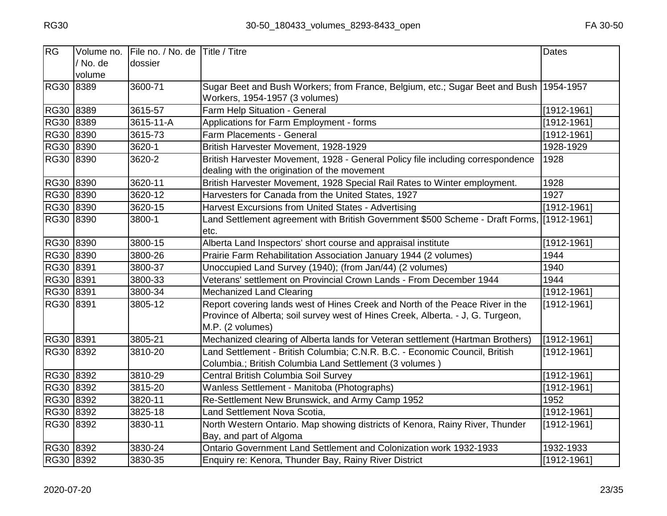| RG          | Volume no.<br>/ No. de<br>volume | File no. / No. de Title / Titre<br>dossier |                                                                                                                                                                                      | <b>Dates</b>    |
|-------------|----------------------------------|--------------------------------------------|--------------------------------------------------------------------------------------------------------------------------------------------------------------------------------------|-----------------|
| RG30 8389   |                                  | 3600-71                                    | Sugar Beet and Bush Workers; from France, Belgium, etc.; Sugar Beet and Bush 1954-1957<br>Workers, 1954-1957 (3 volumes)                                                             |                 |
| RG30 8389   |                                  | 3615-57                                    | Farm Help Situation - General                                                                                                                                                        | $[1912 - 1961]$ |
| <b>RG30</b> | 8389                             | 3615-11-A                                  | Applications for Farm Employment - forms                                                                                                                                             | $[1912 - 1961]$ |
| RG30 8390   |                                  | 3615-73                                    | <b>Farm Placements - General</b>                                                                                                                                                     | [1912-1961]     |
| RG30 8390   |                                  | 3620-1                                     | British Harvester Movement, 1928-1929                                                                                                                                                | 1928-1929       |
| RG30 8390   |                                  | 3620-2                                     | British Harvester Movement, 1928 - General Policy file including correspondence<br>dealing with the origination of the movement                                                      | 1928            |
| RG30 8390   |                                  | 3620-11                                    | British Harvester Movement, 1928 Special Rail Rates to Winter employment.                                                                                                            | 1928            |
| RG30 8390   |                                  | 3620-12                                    | Harvesters for Canada from the United States, 1927                                                                                                                                   | 1927            |
| RG30 8390   |                                  | 3620-15                                    | Harvest Excursions from United States - Advertising                                                                                                                                  | [1912-1961]     |
| RG30 8390   |                                  | 3800-1                                     | Land Settlement agreement with British Government \$500 Scheme - Draft Forms, [[1912-1961]<br>etc.                                                                                   |                 |
| RG30 8390   |                                  | 3800-15                                    | Alberta Land Inspectors' short course and appraisal institute                                                                                                                        | [1912-1961]     |
| RG30 8390   |                                  | 3800-26                                    | Prairie Farm Rehabilitation Association January 1944 (2 volumes)                                                                                                                     | 1944            |
| RG30 8391   |                                  | 3800-37                                    | Unoccupied Land Survey (1940); (from Jan/44) (2 volumes)                                                                                                                             | 1940            |
| RG30 8391   |                                  | 3800-33                                    | Veterans' settlement on Provincial Crown Lands - From December 1944                                                                                                                  | 1944            |
| RG30 8391   |                                  | 3800-34                                    | <b>Mechanized Land Clearing</b>                                                                                                                                                      | [1912-1961]     |
| RG30 8391   |                                  | 3805-12                                    | Report covering lands west of Hines Creek and North of the Peace River in the<br>Province of Alberta; soil survey west of Hines Creek, Alberta. - J, G. Turgeon,<br>M.P. (2 volumes) | [1912-1961]     |
| RG30 8391   |                                  | 3805-21                                    | Mechanized clearing of Alberta lands for Veteran settlement (Hartman Brothers)                                                                                                       | [1912-1961]     |
| RG30 8392   |                                  | 3810-20                                    | Land Settlement - British Columbia; C.N.R. B.C. - Economic Council, British<br>Columbia.; British Columbia Land Settlement (3 volumes)                                               | [1912-1961]     |
| RG30 8392   |                                  | 3810-29                                    | Central British Columbia Soil Survey                                                                                                                                                 | $[1912 - 1961]$ |
| <b>RG30</b> | 8392                             | 3815-20                                    | Wanless Settlement - Manitoba (Photographs)                                                                                                                                          | $[1912 - 1961]$ |
| RG30 8392   |                                  | 3820-11                                    | Re-Settlement New Brunswick, and Army Camp 1952                                                                                                                                      | 1952            |
| RG30 8392   |                                  | 3825-18                                    | Land Settlement Nova Scotia,                                                                                                                                                         | [1912-1961]     |
| RG30 8392   |                                  | 3830-11                                    | North Western Ontario. Map showing districts of Kenora, Rainy River, Thunder<br>Bay, and part of Algoma                                                                              | [1912-1961]     |
| RG30 8392   |                                  | 3830-24                                    | Ontario Government Land Settlement and Colonization work 1932-1933                                                                                                                   | 1932-1933       |
| RG30 8392   |                                  | 3830-35                                    | Enquiry re: Kenora, Thunder Bay, Rainy River District                                                                                                                                | [1912-1961]     |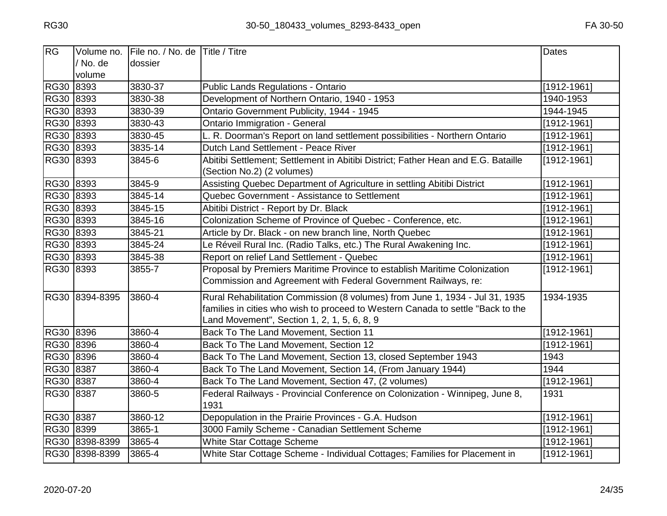| <b>RG</b> | Volume no.     | File no. / No. de Title / Titre |                                                                                                                                                                                                                | Dates           |
|-----------|----------------|---------------------------------|----------------------------------------------------------------------------------------------------------------------------------------------------------------------------------------------------------------|-----------------|
|           | / No. de       | dossier                         |                                                                                                                                                                                                                |                 |
|           | volume         |                                 |                                                                                                                                                                                                                |                 |
| RG30 8393 |                | 3830-37                         | <b>Public Lands Regulations - Ontario</b>                                                                                                                                                                      | $[1912 - 1961]$ |
| RG30 8393 |                | 3830-38                         | Development of Northern Ontario, 1940 - 1953                                                                                                                                                                   | 1940-1953       |
| RG30 8393 |                | 3830-39                         | Ontario Government Publicity, 1944 - 1945                                                                                                                                                                      | 1944-1945       |
| RG30 8393 |                | 3830-43                         | <b>Ontario Immigration - General</b>                                                                                                                                                                           | [1912-1961]     |
| RG30 8393 |                | 3830-45                         | L. R. Doorman's Report on land settlement possibilities - Northern Ontario                                                                                                                                     | [1912-1961]     |
| RG30 8393 |                | 3835-14                         | Dutch Land Settlement - Peace River                                                                                                                                                                            | $[1912 - 1961]$ |
| RG30 8393 |                | 3845-6                          | Abitibi Settlement; Settlement in Abitibi District; Father Hean and E.G. Bataille<br>(Section No.2) (2 volumes)                                                                                                | [1912-1961]     |
| RG30 8393 |                | 3845-9                          | Assisting Quebec Department of Agriculture in settling Abitibi District                                                                                                                                        | $[1912 - 1961]$ |
| RG30 8393 |                | 3845-14                         | Quebec Government - Assistance to Settlement                                                                                                                                                                   | [1912-1961]     |
| RG30 8393 |                | 3845-15                         | Abitibi District - Report by Dr. Black                                                                                                                                                                         | $[1912 - 1961]$ |
| RG30 8393 |                | 3845-16                         | Colonization Scheme of Province of Quebec - Conference, etc.                                                                                                                                                   | [1912-1961]     |
| RG30 8393 |                | 3845-21                         | Article by Dr. Black - on new branch line, North Quebec                                                                                                                                                        | $[1912 - 1961]$ |
| RG30 8393 |                | 3845-24                         | Le Réveil Rural Inc. (Radio Talks, etc.) The Rural Awakening Inc.                                                                                                                                              | $[1912 - 1961]$ |
| RG30 8393 |                | 3845-38                         | Report on relief Land Settlement - Quebec                                                                                                                                                                      | $[1912 - 1961]$ |
| RG30 8393 |                | 3855-7                          | Proposal by Premiers Maritime Province to establish Maritime Colonization<br>Commission and Agreement with Federal Government Railways, re:                                                                    | [1912-1961]     |
|           | RG30 8394-8395 | 3860-4                          | Rural Rehabilitation Commission (8 volumes) from June 1, 1934 - Jul 31, 1935<br>families in cities who wish to proceed to Western Canada to settle "Back to the<br>Land Movement", Section 1, 2, 1, 5, 6, 8, 9 | 1934-1935       |
| RG30 8396 |                | 3860-4                          | Back To The Land Movement, Section 11                                                                                                                                                                          | [1912-1961]     |
| RG30 8396 |                | 3860-4                          | Back To The Land Movement, Section 12                                                                                                                                                                          | [1912-1961]     |
| RG30 8396 |                | 3860-4                          | Back To The Land Movement, Section 13, closed September 1943                                                                                                                                                   | 1943            |
| RG30 8387 |                | 3860-4                          | Back To The Land Movement, Section 14, (From January 1944)                                                                                                                                                     | 1944            |
| RG30 8387 |                | 3860-4                          | Back To The Land Movement, Section 47, (2 volumes)                                                                                                                                                             | [1912-1961]     |
| RG30 8387 |                | 3860-5                          | Federal Railways - Provincial Conference on Colonization - Winnipeg, June 8,<br>1931                                                                                                                           | 1931            |
| RG30 8387 |                | 3860-12                         | Depopulation in the Prairie Provinces - G.A. Hudson                                                                                                                                                            | [1912-1961]     |
| RG30 8399 |                | 3865-1                          | 3000 Family Scheme - Canadian Settlement Scheme                                                                                                                                                                | [1912-1961]     |
|           | RG30 8398-8399 | 3865-4                          | White Star Cottage Scheme                                                                                                                                                                                      | $[1912 - 1961]$ |
|           | RG30 8398-8399 | 3865-4                          | White Star Cottage Scheme - Individual Cottages; Families for Placement in                                                                                                                                     | [1912-1961]     |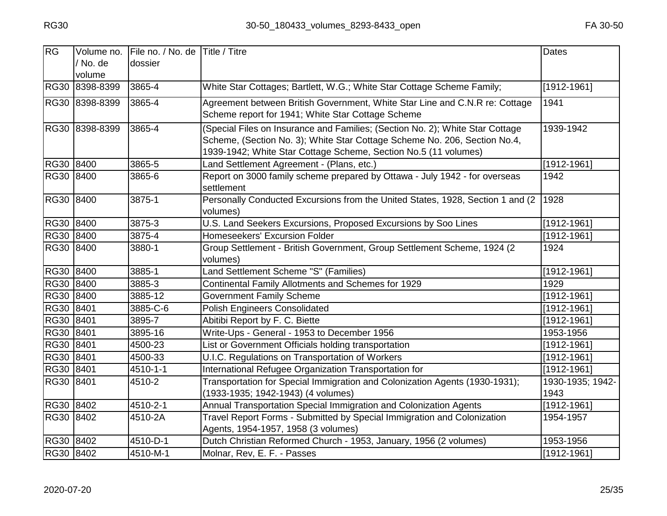| RG        | Volume no.<br>/ No. de<br>volume | File no. / No. de Title / Titre<br>dossier |                                                                                                                                                                                                                               | Dates                    |
|-----------|----------------------------------|--------------------------------------------|-------------------------------------------------------------------------------------------------------------------------------------------------------------------------------------------------------------------------------|--------------------------|
|           | RG30 8398-8399                   | 3865-4                                     | White Star Cottages; Bartlett, W.G.; White Star Cottage Scheme Family;                                                                                                                                                        | $[1912 - 1961]$          |
|           | RG30 8398-8399                   | 3865-4                                     | Agreement between British Government, White Star Line and C.N.R re: Cottage<br>Scheme report for 1941; White Star Cottage Scheme                                                                                              | 1941                     |
|           | RG30 8398-8399                   | 3865-4                                     | (Special Files on Insurance and Families; (Section No. 2); White Star Cottage<br>Scheme, (Section No. 3); White Star Cottage Scheme No. 206, Section No.4,<br>1939-1942; White Star Cottage Scheme, Section No.5 (11 volumes) | 1939-1942                |
| RG30 8400 |                                  | 3865-5                                     | Land Settlement Agreement - (Plans, etc.)                                                                                                                                                                                     | [1912-1961]              |
| RG30 8400 |                                  | 3865-6                                     | Report on 3000 family scheme prepared by Ottawa - July 1942 - for overseas<br>settlement                                                                                                                                      | 1942                     |
| RG30 8400 |                                  | 3875-1                                     | Personally Conducted Excursions from the United States, 1928, Section 1 and (2<br>volumes)                                                                                                                                    | 1928                     |
| RG30 8400 |                                  | 3875-3                                     | U.S. Land Seekers Excursions, Proposed Excursions by Soo Lines                                                                                                                                                                | [1912-1961]              |
| RG30 8400 |                                  | 3875-4                                     | <b>Homeseekers' Excursion Folder</b>                                                                                                                                                                                          | $[1912 - 1961]$          |
| RG30 8400 |                                  | 3880-1                                     | Group Settlement - British Government, Group Settlement Scheme, 1924 (2<br>volumes)                                                                                                                                           | 1924                     |
| RG30 8400 |                                  | 3885-1                                     | Land Settlement Scheme "S" (Families)                                                                                                                                                                                         | [1912-1961]              |
| RG30 8400 |                                  | 3885-3                                     | Continental Family Allotments and Schemes for 1929                                                                                                                                                                            | 1929                     |
| RG30 8400 |                                  | 3885-12                                    | <b>Government Family Scheme</b>                                                                                                                                                                                               | $[1912-1961]$            |
| RG30 8401 |                                  | 3885-C-6                                   | <b>Polish Engineers Consolidated</b>                                                                                                                                                                                          | $[1912 - 1961]$          |
| RG30 8401 |                                  | 3895-7                                     | Abitibi Report by F. C. Biette                                                                                                                                                                                                | $[1912 - 1961]$          |
| RG30 8401 |                                  | 3895-16                                    | Write-Ups - General - 1953 to December 1956                                                                                                                                                                                   | 1953-1956                |
| RG30 8401 |                                  | 4500-23                                    | List or Government Officials holding transportation                                                                                                                                                                           | $[1912 - 1961]$          |
| RG30 8401 |                                  | 4500-33                                    | U.I.C. Regulations on Transportation of Workers                                                                                                                                                                               | $[1912 - 1961]$          |
| RG30 8401 |                                  | 4510-1-1                                   | International Refugee Organization Transportation for                                                                                                                                                                         | [1912-1961]              |
| RG30 8401 |                                  | 4510-2                                     | Transportation for Special Immigration and Colonization Agents (1930-1931);<br>(1933-1935; 1942-1943) (4 volumes)                                                                                                             | 1930-1935; 1942-<br>1943 |
| RG30 8402 |                                  | 4510-2-1                                   | Annual Transportation Special Immigration and Colonization Agents                                                                                                                                                             | $[1912 - 1961]$          |
| RG30 8402 |                                  | 4510-2A                                    | Travel Report Forms - Submitted by Special Immigration and Colonization<br>Agents, 1954-1957, 1958 (3 volumes)                                                                                                                | 1954-1957                |
| RG30 8402 |                                  | 4510-D-1                                   | Dutch Christian Reformed Church - 1953, January, 1956 (2 volumes)                                                                                                                                                             | 1953-1956                |
| RG30 8402 |                                  | 4510-M-1                                   | Molnar, Rev, E. F. - Passes                                                                                                                                                                                                   | $[1912 - 1961]$          |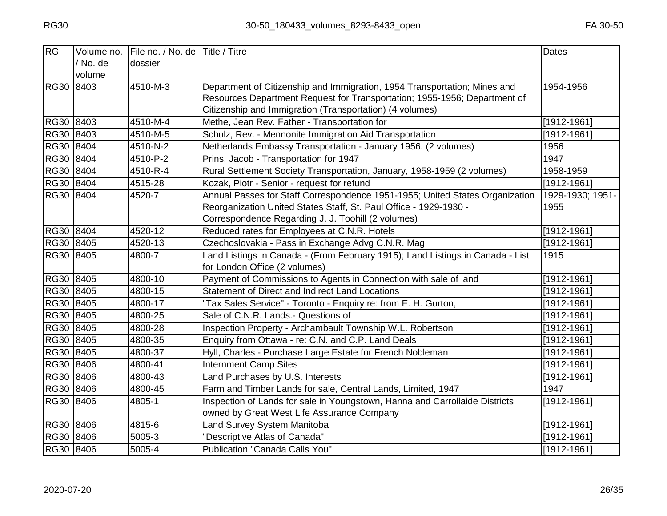| RG          | Volume no. | File no. / No. de Title / Titre |                                                                                | <b>Dates</b>     |
|-------------|------------|---------------------------------|--------------------------------------------------------------------------------|------------------|
|             | / No. de   | dossier                         |                                                                                |                  |
|             | volume     |                                 |                                                                                |                  |
| <b>RG30</b> | 8403       | 4510-M-3                        | Department of Citizenship and Immigration, 1954 Transportation; Mines and      | 1954-1956        |
|             |            |                                 | Resources Department Request for Transportation; 1955-1956; Department of      |                  |
|             |            |                                 | Citizenship and Immigration (Transportation) (4 volumes)                       |                  |
| RG30 8403   |            | 4510-M-4                        | Methe, Jean Rev. Father - Transportation for                                   | [1912-1961]      |
| RG30 8403   |            | 4510-M-5                        | Schulz, Rev. - Mennonite Immigration Aid Transportation                        | [1912-1961]      |
| RG30 8404   |            | 4510-N-2                        | Netherlands Embassy Transportation - January 1956. (2 volumes)                 | 1956             |
| RG30 8404   |            | 4510-P-2                        | Prins, Jacob - Transportation for 1947                                         | 1947             |
| RG30 8404   |            | 4510-R-4                        | Rural Settlement Society Transportation, January, 1958-1959 (2 volumes)        | 1958-1959        |
| RG30 8404   |            | 4515-28                         | Kozak, Piotr - Senior - request for refund                                     | $[1912 - 1961]$  |
| RG30 8404   |            | 4520-7                          | Annual Passes for Staff Correspondence 1951-1955; United States Organization   | 1929-1930; 1951- |
|             |            |                                 | Reorganization United States Staff, St. Paul Office - 1929-1930 -              | 1955             |
|             |            |                                 | Correspondence Regarding J. J. Toohill (2 volumes)                             |                  |
| RG30 8404   |            | 4520-12                         | Reduced rates for Employees at C.N.R. Hotels                                   | [1912-1961]      |
| RG30 8405   |            | 4520-13                         | Czechoslovakia - Pass in Exchange Advg C.N.R. Mag                              | [1912-1961]      |
| RG30 8405   |            | 4800-7                          | Land Listings in Canada - (From February 1915); Land Listings in Canada - List | 1915             |
|             |            |                                 | for London Office (2 volumes)                                                  |                  |
| RG30 8405   |            | 4800-10                         | Payment of Commissions to Agents in Connection with sale of land               | [1912-1961]      |
| RG30 8405   |            | 4800-15                         | <b>Statement of Direct and Indirect Land Locations</b>                         | $[1912 - 1961]$  |
| RG30 8405   |            | 4800-17                         | "Tax Sales Service" - Toronto - Enquiry re: from E. H. Gurton,                 | [1912-1961]      |
| <b>RG30</b> | 8405       | 4800-25                         | Sale of C.N.R. Lands.- Questions of                                            | $[1912 - 1961]$  |
| <b>RG30</b> | 8405       | 4800-28                         | Inspection Property - Archambault Township W.L. Robertson                      | [1912-1961]      |
| <b>RG30</b> | 8405       | 4800-35                         | Enquiry from Ottawa - re: C.N. and C.P. Land Deals                             | $[1912 - 1961]$  |
| RG30 8405   |            | 4800-37                         | Hyll, Charles - Purchase Large Estate for French Nobleman                      | $[1912 - 1961]$  |
| RG30 8406   |            | 4800-41                         | <b>Internment Camp Sites</b>                                                   | [1912-1961]      |
| RG30 8406   |            | 4800-43                         | Land Purchases by U.S. Interests                                               | [1912-1961]      |
| RG30 8406   |            | 4800-45                         | Farm and Timber Lands for sale, Central Lands, Limited, 1947                   | 1947             |
| RG30 8406   |            | 4805-1                          | Inspection of Lands for sale in Youngstown, Hanna and Carrollaide Districts    | $[1912 - 1961]$  |
|             |            |                                 | owned by Great West Life Assurance Company                                     |                  |
| RG30 8406   |            | 4815-6                          | Land Survey System Manitoba                                                    | [1912-1961]      |
| RG30 8406   |            | 5005-3                          | 'Descriptive Atlas of Canada"                                                  | [1912-1961]      |
| RG30 8406   |            | 5005-4                          | Publication "Canada Calls You"                                                 | [1912-1961]      |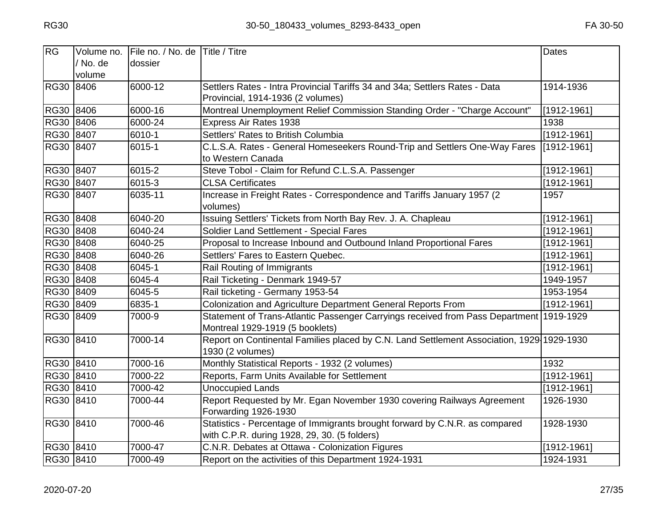| RG        | Volume no.<br>/ No. de<br>volume | File no. / No. de Title / Titre<br>dossier |                                                                                                                              | <b>Dates</b>    |
|-----------|----------------------------------|--------------------------------------------|------------------------------------------------------------------------------------------------------------------------------|-----------------|
| RG30 8406 |                                  | 6000-12                                    | Settlers Rates - Intra Provincial Tariffs 34 and 34a; Settlers Rates - Data<br>Provincial, 1914-1936 (2 volumes)             | 1914-1936       |
| RG30 8406 |                                  | 6000-16                                    | Montreal Unemployment Relief Commission Standing Order - "Charge Account"                                                    | [1912-1961]     |
| RG30 8406 |                                  | 6000-24                                    | Express Air Rates 1938                                                                                                       | 1938            |
| RG30 8407 |                                  | 6010-1                                     | Settlers' Rates to British Columbia                                                                                          | [1912-1961]     |
| RG30 8407 |                                  | 6015-1                                     | C.L.S.A. Rates - General Homeseekers Round-Trip and Settlers One-Way Fares<br>to Western Canada                              | [1912-1961]     |
| RG30 8407 |                                  | 6015-2                                     | Steve Tobol - Claim for Refund C.L.S.A. Passenger                                                                            | [1912-1961]     |
| RG30 8407 |                                  | 6015-3                                     | <b>CLSA Certificates</b>                                                                                                     | $[1912 - 1961]$ |
| RG30 8407 |                                  | 6035-11                                    | Increase in Freight Rates - Correspondence and Tariffs January 1957 (2<br>volumes)                                           | 1957            |
| RG30 8408 |                                  | 6040-20                                    | Issuing Settlers' Tickets from North Bay Rev. J. A. Chapleau                                                                 | [1912-1961]     |
| RG30 8408 |                                  | 6040-24                                    | Soldier Land Settlement - Special Fares                                                                                      | [1912-1961]     |
| RG30 8408 |                                  | 6040-25                                    | Proposal to Increase Inbound and Outbound Inland Proportional Fares                                                          | $[1912 - 1961]$ |
| RG30 8408 |                                  | 6040-26                                    | Settlers' Fares to Eastern Quebec.                                                                                           | [1912-1961]     |
| RG30 8408 |                                  | 6045-1                                     | Rail Routing of Immigrants                                                                                                   | [1912-1961]     |
| RG30 8408 |                                  | 6045-4                                     | Rail Ticketing - Denmark 1949-57                                                                                             | 1949-1957       |
| RG30 8409 |                                  | 6045-5                                     | Rail ticketing - Germany 1953-54                                                                                             | 1953-1954       |
| RG30 8409 |                                  | 6835-1                                     | Colonization and Agriculture Department General Reports From                                                                 | [1912-1961]     |
| RG30 8409 |                                  | 7000-9                                     | Statement of Trans-Atlantic Passenger Carryings received from Pass Department   1919-1929<br>Montreal 1929-1919 (5 booklets) |                 |
| RG30 8410 |                                  | 7000-14                                    | Report on Continental Families placed by C.N. Land Settlement Association, 1929 1929-1930<br>1930 (2 volumes)                |                 |
| RG30 8410 |                                  | 7000-16                                    | Monthly Statistical Reports - 1932 (2 volumes)                                                                               | 1932            |
| RG30 8410 |                                  | 7000-22                                    | Reports, Farm Units Available for Settlement                                                                                 | $[1912 - 1961]$ |
| RG30 8410 |                                  | 7000-42                                    | <b>Unoccupied Lands</b>                                                                                                      | [1912-1961]     |
| RG30 8410 |                                  | 7000-44                                    | Report Requested by Mr. Egan November 1930 covering Railways Agreement<br>Forwarding 1926-1930                               | 1926-1930       |
| RG30 8410 |                                  | 7000-46                                    | Statistics - Percentage of Immigrants brought forward by C.N.R. as compared<br>with C.P.R. during 1928, 29, 30. (5 folders)  | 1928-1930       |
| RG30 8410 |                                  | 7000-47                                    | C.N.R. Debates at Ottawa - Colonization Figures                                                                              | $[1912 - 1961]$ |
| RG30 8410 |                                  | 7000-49                                    | Report on the activities of this Department 1924-1931                                                                        | 1924-1931       |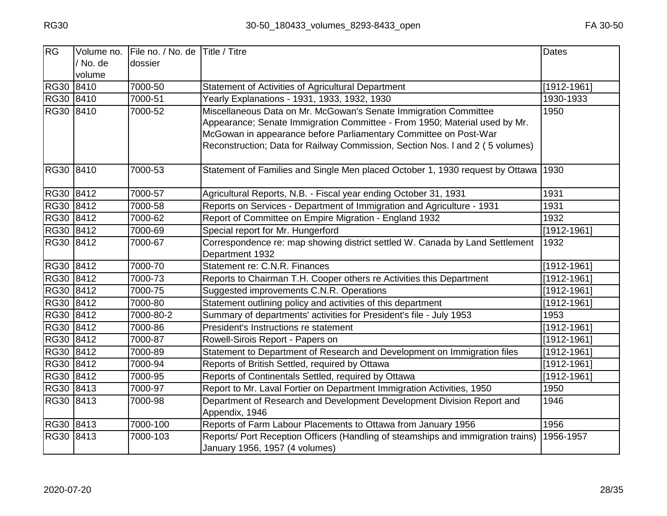| RG        | Volume no. | File no. / No. de | Title / Titre                                                                      | <b>Dates</b>    |
|-----------|------------|-------------------|------------------------------------------------------------------------------------|-----------------|
|           | / No. de   | dossier           |                                                                                    |                 |
|           | volume     |                   |                                                                                    |                 |
| RG30 8410 |            | 7000-50           | Statement of Activities of Agricultural Department                                 | $[1912 - 1961]$ |
| RG30 8410 |            | 7000-51           | Yearly Explanations - 1931, 1933, 1932, 1930                                       | 1930-1933       |
| RG30 8410 |            | 7000-52           | Miscellaneous Data on Mr. McGowan's Senate Immigration Committee                   | 1950            |
|           |            |                   | Appearance; Senate Immigration Committee - From 1950; Material used by Mr.         |                 |
|           |            |                   | McGowan in appearance before Parliamentary Committee on Post-War                   |                 |
|           |            |                   | Reconstruction; Data for Railway Commission, Section Nos. I and 2 (5 volumes)      |                 |
| RG30 8410 |            | 7000-53           | Statement of Families and Single Men placed October 1, 1930 request by Ottawa 1930 |                 |
| RG30 8412 |            | 7000-57           | Agricultural Reports, N.B. - Fiscal year ending October 31, 1931                   | 1931            |
| RG30 8412 |            | 7000-58           | Reports on Services - Department of Immigration and Agriculture - 1931             | 1931            |
| RG30 8412 |            | 7000-62           | Report of Committee on Empire Migration - England 1932                             | 1932            |
| RG30 8412 |            | 7000-69           | Special report for Mr. Hungerford                                                  | [1912-1961]     |
| RG30 8412 |            | 7000-67           | Correspondence re: map showing district settled W. Canada by Land Settlement       | 1932            |
|           |            |                   | Department 1932                                                                    |                 |
| RG30 8412 |            | 7000-70           | Statement re: C.N.R. Finances                                                      | $[1912 - 1961]$ |
| RG30 8412 |            | 7000-73           | Reports to Chairman T.H. Cooper others re Activities this Department               | $[1912 - 1961]$ |
| RG30 8412 |            | 7000-75           | Suggested improvements C.N.R. Operations                                           | $[1912-1961]$   |
| RG30 8412 |            | 7000-80           | Statement outlining policy and activities of this department                       | $[1912-1961]$   |
| RG30 8412 |            | 7000-80-2         | Summary of departments' activities for President's file - July 1953                | 1953            |
| RG30 8412 |            | 7000-86           | President's Instructions re statement                                              | $[1912 - 1961]$ |
| RG30 8412 |            | 7000-87           | Rowell-Sirois Report - Papers on                                                   | $[1912 - 1961]$ |
| RG30 8412 |            | 7000-89           | Statement to Department of Research and Development on Immigration files           | [1912-1961]     |
| RG30 8412 |            | 7000-94           | Reports of British Settled, required by Ottawa                                     | [1912-1961]     |
| RG30 8412 |            | 7000-95           | Reports of Continentals Settled, required by Ottawa                                | $[1912 - 1961]$ |
| RG30 8413 |            | 7000-97           | Report to Mr. Laval Fortier on Department Immigration Activities, 1950             | 1950            |
| RG30 8413 |            | 7000-98           | Department of Research and Development Development Division Report and             | 1946            |
|           |            |                   | Appendix, 1946                                                                     |                 |
| RG30 8413 |            | 7000-100          | Reports of Farm Labour Placements to Ottawa from January 1956                      | 1956            |
| RG30 8413 |            | 7000-103          | Reports/ Port Reception Officers (Handling of steamships and immigration trains)   | 1956-1957       |
|           |            |                   | January 1956, 1957 (4 volumes)                                                     |                 |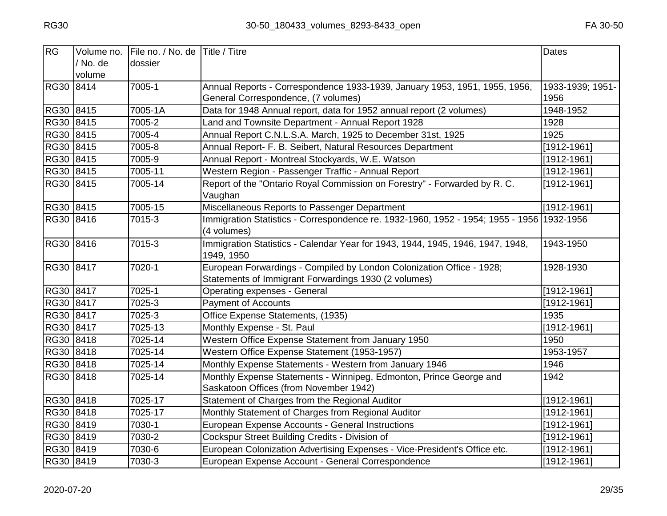| RG          | Volume no. | File no. / No. de Title / Titre |                                                                                           | Dates            |
|-------------|------------|---------------------------------|-------------------------------------------------------------------------------------------|------------------|
|             | / No. de   | dossier                         |                                                                                           |                  |
|             | volume     |                                 |                                                                                           |                  |
| RG30 8414   |            | 7005-1                          | Annual Reports - Correspondence 1933-1939, January 1953, 1951, 1955, 1956,                | 1933-1939; 1951- |
|             |            |                                 | General Correspondence, (7 volumes)                                                       | 1956             |
| RG30 8415   |            | 7005-1A                         | Data for 1948 Annual report, data for 1952 annual report (2 volumes)                      | 1948-1952        |
| RG30 8415   |            | 7005-2                          | Land and Townsite Department - Annual Report 1928                                         | 1928             |
| RG30 8415   |            | 7005-4                          | Annual Report C.N.L.S.A. March, 1925 to December 31st, 1925                               | 1925             |
| RG30 8415   |            | 7005-8                          | Annual Report- F. B. Seibert, Natural Resources Department                                | $[1912 - 1961]$  |
| RG30 8415   |            | 7005-9                          | Annual Report - Montreal Stockyards, W.E. Watson                                          | [1912-1961]      |
| RG30 8415   |            | 7005-11                         | Western Region - Passenger Traffic - Annual Report                                        | [1912-1961]      |
| RG30 8415   |            | 7005-14                         | Report of the "Ontario Royal Commission on Forestry" - Forwarded by R. C.                 | $[1912-1961]$    |
|             |            |                                 | Vaughan                                                                                   |                  |
| RG30 8415   |            | 7005-15                         | Miscellaneous Reports to Passenger Department                                             | $[1912 - 1961]$  |
| RG30 8416   |            | 7015-3                          | Immigration Statistics - Correspondence re. 1932-1960, 1952 - 1954; 1955 - 1956 1932-1956 |                  |
|             |            |                                 | (4 volumes)                                                                               |                  |
| RG30 8416   |            | 7015-3                          | Immigration Statistics - Calendar Year for 1943, 1944, 1945, 1946, 1947, 1948,            | 1943-1950        |
|             |            |                                 | 1949, 1950                                                                                |                  |
| RG30 8417   |            | 7020-1                          | European Forwardings - Compiled by London Colonization Office - 1928;                     | 1928-1930        |
|             |            |                                 | Statements of Immigrant Forwardings 1930 (2 volumes)                                      |                  |
| RG30 8417   |            | 7025-1                          | <b>Operating expenses - General</b>                                                       | [1912-1961]      |
| RG30 8417   |            | 7025-3                          | <b>Payment of Accounts</b>                                                                | [1912-1961]      |
| RG30 8417   |            | 7025-3                          | Office Expense Statements, (1935)                                                         | 1935             |
| <b>RG30</b> | 8417       | 7025-13                         | Monthly Expense - St. Paul                                                                | [1912-1961]      |
| RG30 8418   |            | 7025-14                         | Western Office Expense Statement from January 1950                                        | 1950             |
| RG30 8418   |            | 7025-14                         | Western Office Expense Statement (1953-1957)                                              | 1953-1957        |
| RG30 8418   |            | 7025-14                         | Monthly Expense Statements - Western from January 1946                                    | 1946             |
| RG30 8418   |            | 7025-14                         | Monthly Expense Statements - Winnipeg, Edmonton, Prince George and                        | 1942             |
|             |            |                                 | Saskatoon Offices (from November 1942)                                                    |                  |
| RG30 8418   |            | 7025-17                         | Statement of Charges from the Regional Auditor                                            | $[1912 - 1961]$  |
| RG30 8418   |            | 7025-17                         | Monthly Statement of Charges from Regional Auditor                                        | [1912-1961]      |
| <b>RG30</b> | 8419       | 7030-1                          | European Expense Accounts - General Instructions                                          | [1912-1961]      |
| <b>RG30</b> | 8419       | 7030-2                          | Cockspur Street Building Credits - Division of                                            | [1912-1961]      |
| <b>RG30</b> | 8419       | 7030-6                          | European Colonization Advertising Expenses - Vice-President's Office etc.                 | [1912-1961]      |
| RG30 8419   |            | 7030-3                          | European Expense Account - General Correspondence                                         | [1912-1961]      |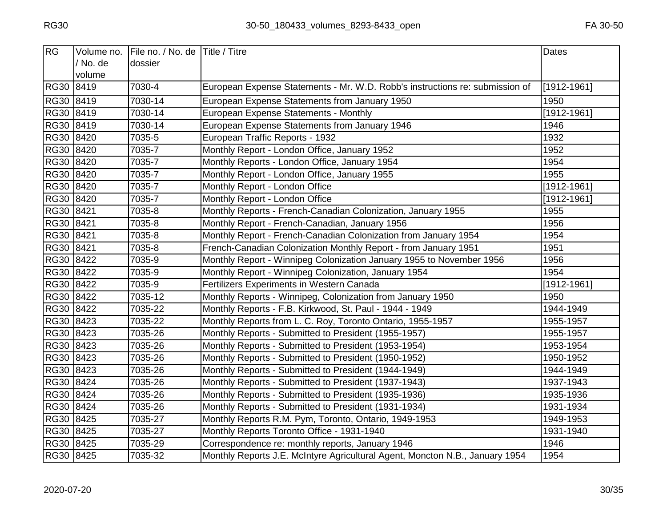| RG        | Volume no.<br>/ No. de | File no. / No. de Title / Titre<br>dossier |                                                                              | <b>Dates</b>    |
|-----------|------------------------|--------------------------------------------|------------------------------------------------------------------------------|-----------------|
| RG30 8419 | volume                 | 7030-4                                     | European Expense Statements - Mr. W.D. Robb's instructions re: submission of | [1912-1961]     |
| RG30 8419 |                        | 7030-14                                    | European Expense Statements from January 1950                                | 1950            |
| RG30 8419 |                        | 7030-14                                    | European Expense Statements - Monthly                                        | [1912-1961]     |
| RG30 8419 |                        | 7030-14                                    | European Expense Statements from January 1946                                | 1946            |
| RG30 8420 |                        | 7035-5                                     | European Traffic Reports - 1932                                              | 1932            |
| RG30 8420 |                        | 7035-7                                     | Monthly Report - London Office, January 1952                                 | 1952            |
| RG30 8420 |                        | 7035-7                                     | Monthly Reports - London Office, January 1954                                | 1954            |
| RG30 8420 |                        | 7035-7                                     | Monthly Report - London Office, January 1955                                 | 1955            |
| RG30 8420 |                        | 7035-7                                     | Monthly Report - London Office                                               | $[1912 - 1961]$ |
| RG30 8420 |                        | 7035-7                                     | Monthly Report - London Office                                               | [1912-1961]     |
| RG30 8421 |                        | 7035-8                                     | Monthly Reports - French-Canadian Colonization, January 1955                 | 1955            |
| RG30 8421 |                        | 7035-8                                     | Monthly Report - French-Canadian, January 1956                               | 1956            |
| RG30 8421 |                        | 7035-8                                     | Monthly Report - French-Canadian Colonization from January 1954              | 1954            |
| RG30 8421 |                        | 7035-8                                     | French-Canadian Colonization Monthly Report - from January 1951              | 1951            |
| RG30 8422 |                        | 7035-9                                     | Monthly Report - Winnipeg Colonization January 1955 to November 1956         | 1956            |
| RG30 8422 |                        | 7035-9                                     | Monthly Report - Winnipeg Colonization, January 1954                         | 1954            |
| RG30 8422 |                        | 7035-9                                     | Fertilizers Experiments in Western Canada                                    | [1912-1961]     |
| RG30 8422 |                        | 7035-12                                    | Monthly Reports - Winnipeg, Colonization from January 1950                   | 1950            |
| RG30 8422 |                        | 7035-22                                    | Monthly Reports - F.B. Kirkwood, St. Paul - 1944 - 1949                      | 1944-1949       |
| RG30 8423 |                        | 7035-22                                    | Monthly Reports from L. C. Roy, Toronto Ontario, 1955-1957                   | 1955-1957       |
| RG30 8423 |                        | 7035-26                                    | Monthly Reports - Submitted to President (1955-1957)                         | 1955-1957       |
| RG30 8423 |                        | 7035-26                                    | Monthly Reports - Submitted to President (1953-1954)                         | 1953-1954       |
| RG30 8423 |                        | 7035-26                                    | Monthly Reports - Submitted to President (1950-1952)                         | 1950-1952       |
| RG30 8423 |                        | 7035-26                                    | Monthly Reports - Submitted to President (1944-1949)                         | 1944-1949       |
| RG30 8424 |                        | 7035-26                                    | Monthly Reports - Submitted to President (1937-1943)                         | 1937-1943       |
| RG30 8424 |                        | 7035-26                                    | Monthly Reports - Submitted to President (1935-1936)                         | 1935-1936       |
| RG30 8424 |                        | 7035-26                                    | Monthly Reports - Submitted to President (1931-1934)                         | 1931-1934       |
| RG30 8425 |                        | 7035-27                                    | Monthly Reports R.M. Pym, Toronto, Ontario, 1949-1953                        | 1949-1953       |
| RG30 8425 |                        | 7035-27                                    | Monthly Reports Toronto Office - 1931-1940                                   | 1931-1940       |
| RG30 8425 |                        | 7035-29                                    | Correspondence re: monthly reports, January 1946                             | 1946            |
| RG30 8425 |                        | 7035-32                                    | Monthly Reports J.E. McIntyre Agricultural Agent, Moncton N.B., January 1954 | 1954            |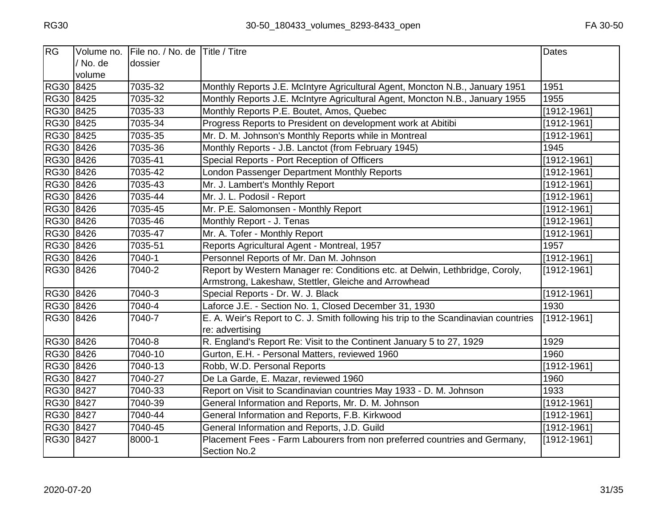| <b>RG</b>   | Volume no. | File no. / No. de Title / Titre |                                                                                     | <b>Dates</b>    |
|-------------|------------|---------------------------------|-------------------------------------------------------------------------------------|-----------------|
|             | / No. de   | dossier                         |                                                                                     |                 |
|             | volume     |                                 |                                                                                     |                 |
| RG30 8425   |            | 7035-32                         | Monthly Reports J.E. McIntyre Agricultural Agent, Moncton N.B., January 1951        | 1951            |
| RG30 8425   |            | 7035-32                         | Monthly Reports J.E. McIntyre Agricultural Agent, Moncton N.B., January 1955        | 1955            |
| RG30 8425   |            | 7035-33                         | Monthly Reports P.E. Boutet, Amos, Quebec                                           | $[1912 - 1961]$ |
| RG30 8425   |            | 7035-34                         | Progress Reports to President on development work at Abitibi                        | [1912-1961]     |
| RG30 8425   |            | 7035-35                         | Mr. D. M. Johnson's Monthly Reports while in Montreal                               | $[1912 - 1961]$ |
| RG30 8426   |            | 7035-36                         | Monthly Reports - J.B. Lanctot (from February 1945)                                 | 1945            |
| RG30 8426   |            | 7035-41                         | Special Reports - Port Reception of Officers                                        | $[1912 - 1961]$ |
| RG30 8426   |            | 7035-42                         | London Passenger Department Monthly Reports                                         | [1912-1961]     |
| RG30 8426   |            | 7035-43                         | Mr. J. Lambert's Monthly Report                                                     | $[1912 - 1961]$ |
| RG30 8426   |            | 7035-44                         | Mr. J. L. Podosil - Report                                                          | $[1912 - 1961]$ |
| RG30 8426   |            | 7035-45                         | Mr. P.E. Salomonsen - Monthly Report                                                | $[1912 - 1961]$ |
| RG30 8426   |            | 7035-46                         | Monthly Report - J. Tenas                                                           | $[1912 - 1961]$ |
| RG30 8426   |            | 7035-47                         | Mr. A. Tofer - Monthly Report                                                       | $[1912 - 1961]$ |
| RG30 8426   |            | 7035-51                         | Reports Agricultural Agent - Montreal, 1957                                         | 1957            |
| RG30 8426   |            | 7040-1                          | Personnel Reports of Mr. Dan M. Johnson                                             | $[1912-1961]$   |
| RG30 8426   |            | 7040-2                          | Report by Western Manager re: Conditions etc. at Delwin, Lethbridge, Coroly,        | $[1912-1961]$   |
|             |            |                                 | Armstrong, Lakeshaw, Stettler, Gleiche and Arrowhead                                |                 |
| RG30 8426   |            | 7040-3                          | Special Reports - Dr. W. J. Black                                                   | $[1912 - 1961]$ |
| RG30 8426   |            | 7040-4                          | Laforce J.E. - Section No. 1, Closed December 31, 1930                              | 1930            |
| RG30 8426   |            | 7040-7                          | E. A. Weir's Report to C. J. Smith following his trip to the Scandinavian countries | $[1912-1961]$   |
|             |            |                                 | re: advertising                                                                     |                 |
| RG30 8426   |            | 7040-8                          | R. England's Report Re: Visit to the Continent January 5 to 27, 1929                | 1929            |
| RG30 8426   |            | 7040-10                         | Gurton, E.H. - Personal Matters, reviewed 1960                                      | 1960            |
| RG30 8426   |            | 7040-13                         | Robb, W.D. Personal Reports                                                         | $[1912 - 1961]$ |
| RG30 8427   |            | 7040-27                         | De La Garde, E. Mazar, reviewed 1960                                                | 1960            |
| RG30 8427   |            | 7040-33                         | Report on Visit to Scandinavian countries May 1933 - D. M. Johnson                  | 1933            |
| RG30 8427   |            | 7040-39                         | General Information and Reports, Mr. D. M. Johnson                                  | $[1912 - 1961]$ |
| RG30 8427   |            | 7040-44                         | General Information and Reports, F.B. Kirkwood                                      | $[1912 - 1961]$ |
| RG30 8427   |            | 7040-45                         | General Information and Reports, J.D. Guild                                         | [1912-1961]     |
| <b>RG30</b> | 8427       | 8000-1                          | Placement Fees - Farm Labourers from non preferred countries and Germany,           | [1912-1961]     |
|             |            |                                 | Section No.2                                                                        |                 |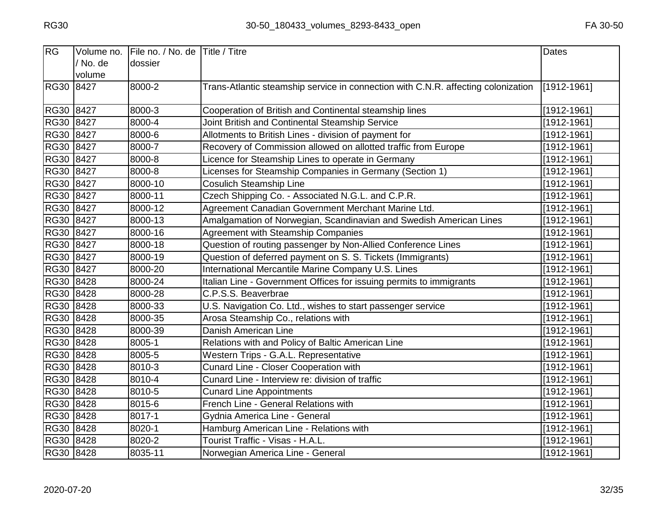| RG        | Volume no. | File no. / No. de Title / Titre |                                                                                   | <b>Dates</b>    |
|-----------|------------|---------------------------------|-----------------------------------------------------------------------------------|-----------------|
|           | / No. de   | dossier                         |                                                                                   |                 |
|           | volume     |                                 |                                                                                   |                 |
| RG30 8427 |            | 8000-2                          | Trans-Atlantic steamship service in connection with C.N.R. affecting colonization | $[1912-1961]$   |
| RG30 8427 |            | 8000-3                          | Cooperation of British and Continental steamship lines                            | $[1912 - 1961]$ |
| RG30 8427 |            | 8000-4                          | Joint British and Continental Steamship Service                                   | [1912-1961]     |
| RG30 8427 |            | 8000-6                          | Allotments to British Lines - division of payment for                             | $[1912 - 1961]$ |
| RG30 8427 |            | 8000-7                          | Recovery of Commission allowed on allotted traffic from Europe                    | $[1912 - 1961]$ |
| RG30 8427 |            | 8000-8                          | Licence for Steamship Lines to operate in Germany                                 | [1912-1961]     |
| RG30 8427 |            | 8000-8                          | Licenses for Steamship Companies in Germany (Section 1)                           | $[1912 - 1961]$ |
| RG30 8427 |            | 8000-10                         | <b>Cosulich Steamship Line</b>                                                    | $[1912 - 1961]$ |
| RG30 8427 |            | 8000-11                         | Czech Shipping Co. - Associated N.G.L. and C.P.R.                                 | $[1912 - 1961]$ |
| RG30 8427 |            | 8000-12                         | Agreement Canadian Government Merchant Marine Ltd.                                | $[1912 - 1961]$ |
| RG30 8427 |            | 8000-13                         | Amalgamation of Norwegian, Scandinavian and Swedish American Lines                | $[1912 - 1961]$ |
| RG30 8427 |            | 8000-16                         | Agreement with Steamship Companies                                                | $[1912 - 1961]$ |
| RG30 8427 |            | 8000-18                         | Question of routing passenger by Non-Allied Conference Lines                      | [1912-1961]     |
| RG30 8427 |            | 8000-19                         | Question of deferred payment on S. S. Tickets (Immigrants)                        | $[1912 - 1961]$ |
| RG30 8427 |            | 8000-20                         | International Mercantile Marine Company U.S. Lines                                | $[1912 - 1961]$ |
| RG30 8428 |            | 8000-24                         | Italian Line - Government Offices for issuing permits to immigrants               | $[1912 - 1961]$ |
| RG30 8428 |            | 8000-28                         | C.P.S.S. Beaverbrae                                                               | $[1912 - 1961]$ |
| RG30 8428 |            | 8000-33                         | U.S. Navigation Co. Ltd., wishes to start passenger service                       | [1912-1961]     |
| RG30 8428 |            | 8000-35                         | Arosa Steamship Co., relations with                                               | $[1912 - 1961]$ |
| RG30 8428 |            | 8000-39                         | Danish American Line                                                              | $[1912 - 1961]$ |
| RG30 8428 |            | 8005-1                          | Relations with and Policy of Baltic American Line                                 | $[1912 - 1961]$ |
| RG30 8428 |            | 8005-5                          | Western Trips - G.A.L. Representative                                             | [1912-1961]     |
| RG30 8428 |            | 8010-3                          | Cunard Line - Closer Cooperation with                                             | [1912-1961]     |
| RG30 8428 |            | 8010-4                          | Cunard Line - Interview re: division of traffic                                   | $[1912 - 1961]$ |
| RG30 8428 |            | 8010-5                          | <b>Cunard Line Appointments</b>                                                   | [1912-1961]     |
| RG30 8428 |            | 8015-6                          | French Line - General Relations with                                              | $[1912 - 1961]$ |
| RG30 8428 |            | 8017-1                          | Gydnia America Line - General                                                     | $[1912 - 1961]$ |
| RG30 8428 |            | 8020-1                          | Hamburg American Line - Relations with                                            | $[1912 - 1961]$ |
| RG30 8428 |            | 8020-2                          | Tourist Traffic - Visas - H.A.L.                                                  | $[1912 - 1961]$ |
| RG30 8428 |            | 8035-11                         | Norwegian America Line - General                                                  | [1912-1961]     |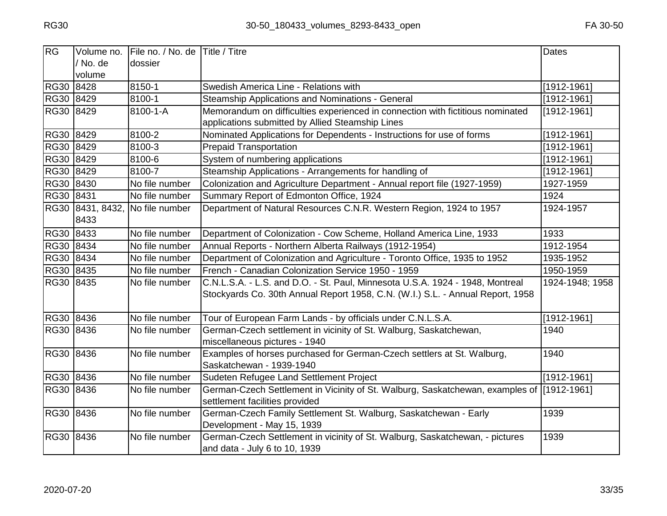| RG        | Volume no. | File no. / No. de Title / Titre |                                                                                                                             | Dates           |
|-----------|------------|---------------------------------|-----------------------------------------------------------------------------------------------------------------------------|-----------------|
|           | / No. de   | dossier                         |                                                                                                                             |                 |
|           | volume     |                                 |                                                                                                                             |                 |
| RG30 8428 |            | 8150-1                          | Swedish America Line - Relations with                                                                                       | [1912-1961]     |
| RG30 8429 |            | 8100-1                          | Steamship Applications and Nominations - General                                                                            | $[1912 - 1961]$ |
| RG30 8429 |            | 8100-1-A                        | Memorandum on difficulties experienced in connection with fictitious nominated                                              | $[1912 - 1961]$ |
|           |            |                                 | applications submitted by Allied Steamship Lines                                                                            |                 |
| RG30 8429 |            | 8100-2                          | Nominated Applications for Dependents - Instructions for use of forms                                                       | [1912-1961]     |
| RG30 8429 |            | 8100-3                          | <b>Prepaid Transportation</b>                                                                                               | [1912-1961]     |
| RG30 8429 |            | 8100-6                          | System of numbering applications                                                                                            | $[1912 - 1961]$ |
| RG30 8429 |            | 8100-7                          | Steamship Applications - Arrangements for handling of                                                                       | [1912-1961]     |
| RG30 8430 |            | No file number                  | Colonization and Agriculture Department - Annual report file (1927-1959)                                                    | 1927-1959       |
| RG30 8431 |            | No file number                  | Summary Report of Edmonton Office, 1924                                                                                     | 1924            |
|           |            | RG30 8431, 8432, No file number | Department of Natural Resources C.N.R. Western Region, 1924 to 1957                                                         | 1924-1957       |
|           | 8433       |                                 |                                                                                                                             |                 |
| RG30 8433 |            | No file number                  | Department of Colonization - Cow Scheme, Holland America Line, 1933                                                         | 1933            |
| RG30 8434 |            | No file number                  | Annual Reports - Northern Alberta Railways (1912-1954)                                                                      | 1912-1954       |
| RG30 8434 |            | No file number                  | Department of Colonization and Agriculture - Toronto Office, 1935 to 1952                                                   | 1935-1952       |
| RG30 8435 |            | No file number                  | French - Canadian Colonization Service 1950 - 1959                                                                          | 1950-1959       |
| RG30 8435 |            | No file number                  | C.N.L.S.A. - L.S. and D.O. - St. Paul, Minnesota U.S.A. 1924 - 1948, Montreal                                               | 1924-1948; 1958 |
|           |            |                                 | Stockyards Co. 30th Annual Report 1958, C.N. (W.I.) S.L. - Annual Report, 1958                                              |                 |
| RG30 8436 |            | No file number                  | Tour of European Farm Lands - by officials under C.N.L.S.A.                                                                 | [1912-1961]     |
| RG30 8436 |            | No file number                  | German-Czech settlement in vicinity of St. Walburg, Saskatchewan,                                                           | 1940            |
|           |            |                                 | miscellaneous pictures - 1940                                                                                               |                 |
| RG30 8436 |            | No file number                  | Examples of horses purchased for German-Czech settlers at St. Walburg,                                                      | 1940            |
|           |            |                                 | Saskatchewan - 1939-1940                                                                                                    |                 |
| RG30 8436 |            | No file number                  | Sudeten Refugee Land Settlement Project                                                                                     | $[1912 - 1961]$ |
| RG30 8436 |            | No file number                  | German-Czech Settlement in Vicinity of St. Walburg, Saskatchewan, examples of [1912-1961]<br>settlement facilities provided |                 |
| RG30 8436 |            | No file number                  | German-Czech Family Settlement St. Walburg, Saskatchewan - Early                                                            | 1939            |
|           |            |                                 | Development - May 15, 1939                                                                                                  |                 |
| RG30 8436 |            | No file number                  | German-Czech Settlement in vicinity of St. Walburg, Saskatchewan, - pictures<br>and data - July 6 to 10, 1939               | 1939            |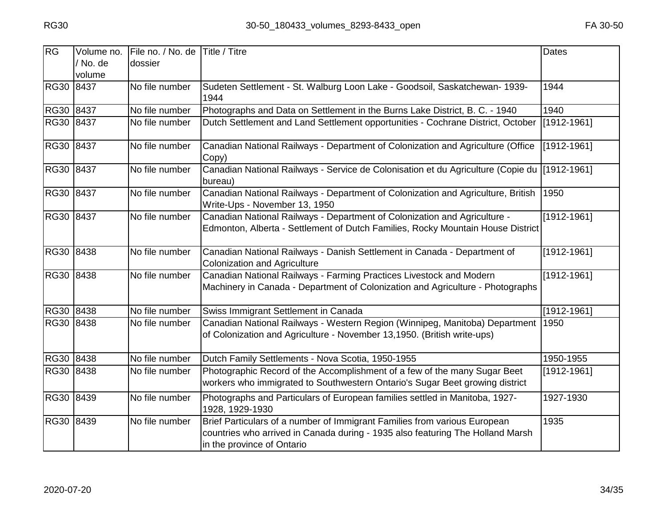| RG        | Volume no.<br>/ No. de<br>volume | File no. / No. de<br>dossier | Title / Titre                                                                                                                                                                             | Dates           |
|-----------|----------------------------------|------------------------------|-------------------------------------------------------------------------------------------------------------------------------------------------------------------------------------------|-----------------|
| RG30 8437 |                                  | No file number               | Sudeten Settlement - St. Walburg Loon Lake - Goodsoil, Saskatchewan- 1939-<br>1944                                                                                                        | 1944            |
| RG30 8437 |                                  | No file number               | Photographs and Data on Settlement in the Burns Lake District, B. C. - 1940                                                                                                               | 1940            |
| RG30 8437 |                                  | No file number               | Dutch Settlement and Land Settlement opportunities - Cochrane District, October                                                                                                           | [1912-1961]     |
| RG30 8437 |                                  | No file number               | Canadian National Railways - Department of Colonization and Agriculture (Office<br>Copy)                                                                                                  | $[1912 - 1961]$ |
| RG30 8437 |                                  | No file number               | Canadian National Railways - Service de Colonisation et du Agriculture (Copie du<br>bureau)                                                                                               | [1912-1961]     |
| RG30 8437 |                                  | No file number               | Canadian National Railways - Department of Colonization and Agriculture, British<br>Write-Ups - November 13, 1950                                                                         | 1950            |
| RG30 8437 |                                  | No file number               | Canadian National Railways - Department of Colonization and Agriculture -<br>Edmonton, Alberta - Settlement of Dutch Families, Rocky Mountain House District                              | $[1912 - 1961]$ |
| RG30 8438 |                                  | No file number               | Canadian National Railways - Danish Settlement in Canada - Department of<br><b>Colonization and Agriculture</b>                                                                           | $[1912-1961]$   |
| RG30 8438 |                                  | No file number               | Canadian National Railways - Farming Practices Livestock and Modern<br>Machinery in Canada - Department of Colonization and Agriculture - Photographs                                     | $[1912 - 1961]$ |
| RG30 8438 |                                  | No file number               | Swiss Immigrant Settlement in Canada                                                                                                                                                      | [1912-1961]     |
| RG30 8438 |                                  | No file number               | Canadian National Railways - Western Region (Winnipeg, Manitoba) Department<br>of Colonization and Agriculture - November 13,1950. (British write-ups)                                    | 1950            |
| RG30 8438 |                                  | No file number               | Dutch Family Settlements - Nova Scotia, 1950-1955                                                                                                                                         | 1950-1955       |
| RG30 8438 |                                  | No file number               | Photographic Record of the Accomplishment of a few of the many Sugar Beet<br>workers who immigrated to Southwestern Ontario's Sugar Beet growing district                                 | [1912-1961]     |
| RG30 8439 |                                  | No file number               | Photographs and Particulars of European families settled in Manitoba, 1927-<br>1928, 1929-1930                                                                                            | 1927-1930       |
| RG30 8439 |                                  | No file number               | Brief Particulars of a number of Immigrant Families from various European<br>countries who arrived in Canada during - 1935 also featuring The Holland Marsh<br>in the province of Ontario | 1935            |